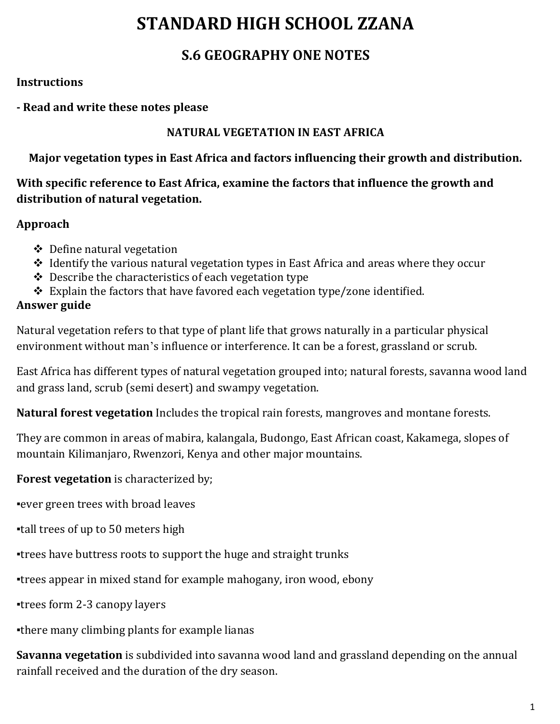# **STANDARD HIGH SCHOOL ZZANA**

# **S.6 GEOGRAPHY ONE NOTES**

#### **Instructions**

#### **- Read and write these notes please**

#### **NATURAL VEGETATION IN EAST AFRICA**

### **Major vegetation types in East Africa and factors influencing their growth and distribution.**

### **With specific reference to East Africa, examine the factors that influence the growth and distribution of natural vegetation.**

### **Approach**

- $\triangleleft$  Define natural vegetation
- $\triangle$  Identify the various natural vegetation types in East Africa and areas where they occur
- $\triangle$  Describe the characteristics of each vegetation type
- $\div$  Explain the factors that have favored each vegetation type/zone identified.

### **Answer guide**

Natural vegetation refers to that type of plant life that grows naturally in a particular physical environment without man's influence or interference. It can be a forest, grassland or scrub.

East Africa has different types of natural vegetation grouped into; natural forests, savanna wood land and grass land, scrub (semi desert) and swampy vegetation.

**Natural forest vegetation** Includes the tropical rain forests, mangroves and montane forests.

They are common in areas of mabira, kalangala, Budongo, East African coast, Kakamega, slopes of mountain Kilimanjaro, Rwenzori, Kenya and other major mountains.

**Forest vegetation** is characterized by;

▪ever green trees with broad leaves

▪tall trees of up to 50 meters high

▪trees have buttress roots to support the huge and straight trunks

▪trees appear in mixed stand for example mahogany, iron wood, ebony

▪trees form 2-3 canopy layers

▪there many climbing plants for example lianas

**Savanna vegetation** is subdivided into savanna wood land and grassland depending on the annual rainfall received and the duration of the dry season.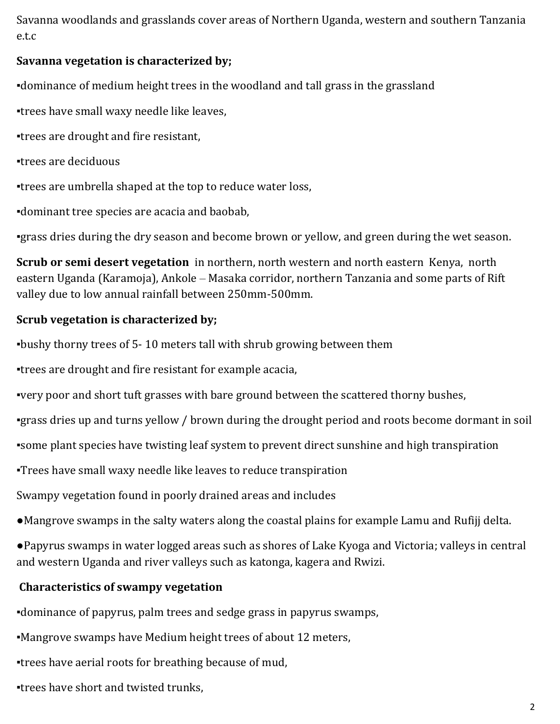Savanna woodlands and grasslands cover areas of Northern Uganda, western and southern Tanzania e.t.c

#### **Savanna vegetation is characterized by;**

▪dominance of medium height trees in the woodland and tall grass in the grassland

▪trees have small waxy needle like leaves,

▪trees are drought and fire resistant,

▪trees are deciduous

▪trees are umbrella shaped at the top to reduce water loss,

▪dominant tree species are acacia and baobab,

▪grass dries during the dry season and become brown or yellow, and green during the wet season.

**Scrub or semi desert vegetation** in northern, north western and north eastern Kenya, north eastern Uganda (Karamoja), Ankole – Masaka corridor, northern Tanzania and some parts of Rift valley due to low annual rainfall between 250mm-500mm.

#### **Scrub vegetation is characterized by;**

▪bushy thorny trees of 5- 10 meters tall with shrub growing between them

▪trees are drought and fire resistant for example acacia,

▪very poor and short tuft grasses with bare ground between the scattered thorny bushes,

▪grass dries up and turns yellow / brown during the drought period and roots become dormant in soil

▪some plant species have twisting leaf system to prevent direct sunshine and high transpiration

▪Trees have small waxy needle like leaves to reduce transpiration

Swampy vegetation found in poorly drained areas and includes

●Mangrove swamps in the salty waters along the coastal plains for example Lamu and Rufijj delta.

●Papyrus swamps in water logged areas such as shores of Lake Kyoga and Victoria; valleys in central and western Uganda and river valleys such as katonga, kagera and Rwizi.

#### **Characteristics of swampy vegetation**

▪dominance of papyrus, palm trees and sedge grass in papyrus swamps,

▪Mangrove swamps have Medium height trees of about 12 meters,

▪trees have aerial roots for breathing because of mud,

▪trees have short and twisted trunks,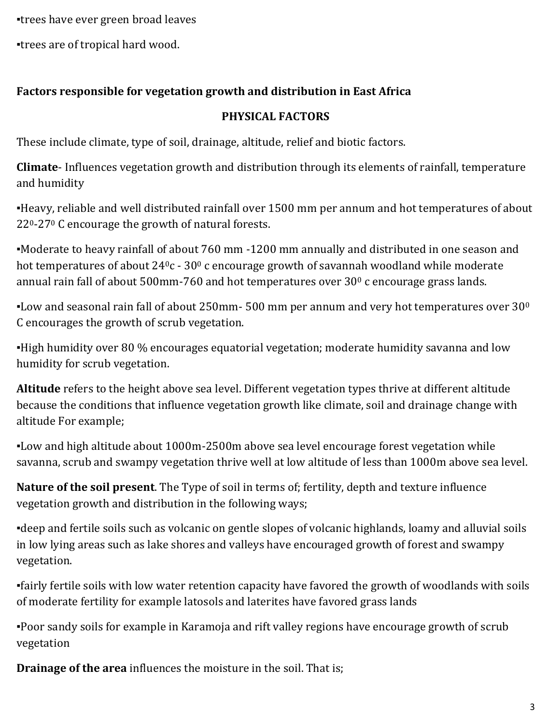▪trees have ever green broad leaves

▪trees are of tropical hard wood.

#### **Factors responsible for vegetation growth and distribution in East Africa**

#### **PHYSICAL FACTORS**

These include climate, type of soil, drainage, altitude, relief and biotic factors.

**Climate**- Influences vegetation growth and distribution through its elements of rainfall, temperature and humidity

▪Heavy, reliable and well distributed rainfall over 1500 mm per annum and hot temperatures of about 220-27<sup>0</sup> C encourage the growth of natural forests.

▪Moderate to heavy rainfall of about 760 mm -1200 mm annually and distributed in one season and hot temperatures of about  $24^0c - 30^0c$  encourage growth of savannah woodland while moderate annual rain fall of about 500mm-760 and hot temperatures over 30<sup>0</sup> c encourage grass lands.

**-Low and seasonal rain fall of about 250mm- 500 mm per annum and very hot temperatures over 30<sup>0</sup>** C encourages the growth of scrub vegetation.

▪High humidity over 80 % encourages equatorial vegetation; moderate humidity savanna and low humidity for scrub vegetation.

**Altitude** refers to the height above sea level. Different vegetation types thrive at different altitude because the conditions that influence vegetation growth like climate, soil and drainage change with altitude For example;

▪Low and high altitude about 1000m-2500m above sea level encourage forest vegetation while savanna, scrub and swampy vegetation thrive well at low altitude of less than 1000m above sea level.

**Nature of the soil present**. The Type of soil in terms of; fertility, depth and texture influence vegetation growth and distribution in the following ways;

▪deep and fertile soils such as volcanic on gentle slopes of volcanic highlands, loamy and alluvial soils in low lying areas such as lake shores and valleys have encouraged growth of forest and swampy vegetation.

▪fairly fertile soils with low water retention capacity have favored the growth of woodlands with soils of moderate fertility for example latosols and laterites have favored grass lands

▪Poor sandy soils for example in Karamoja and rift valley regions have encourage growth of scrub vegetation

**Drainage of the area** influences the moisture in the soil. That is;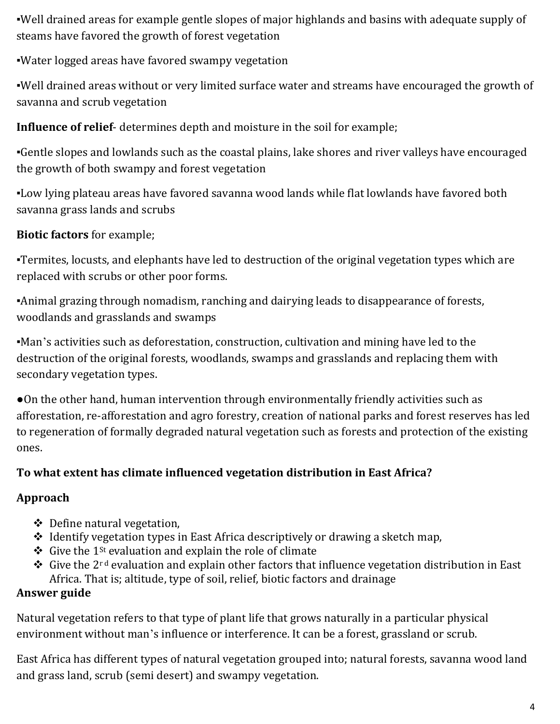▪Well drained areas for example gentle slopes of major highlands and basins with adequate supply of steams have favored the growth of forest vegetation

▪Water logged areas have favored swampy vegetation

▪Well drained areas without or very limited surface water and streams have encouraged the growth of savanna and scrub vegetation

**Influence of relief**- determines depth and moisture in the soil for example;

▪Gentle slopes and lowlands such as the coastal plains, lake shores and river valleys have encouraged the growth of both swampy and forest vegetation

▪Low lying plateau areas have favored savanna wood lands while flat lowlands have favored both savanna grass lands and scrubs

# **Biotic factors** for example;

▪Termites, locusts, and elephants have led to destruction of the original vegetation types which are replaced with scrubs or other poor forms.

▪Animal grazing through nomadism, ranching and dairying leads to disappearance of forests, woodlands and grasslands and swamps

▪Man's activities such as deforestation, construction, cultivation and mining have led to the destruction of the original forests, woodlands, swamps and grasslands and replacing them with secondary vegetation types.

●On the other hand, human intervention through environmentally friendly activities such as afforestation, re-afforestation and agro forestry, creation of national parks and forest reserves has led to regeneration of formally degraded natural vegetation such as forests and protection of the existing ones.

### **To what extent has climate influenced vegetation distribution in East Africa?**

# **Approach**

- Define natural vegetation,
- $\triangle$  Identify vegetation types in East Africa descriptively or drawing a sketch map,
- Give the 1<sup>st</sup> evaluation and explain the role of climate
- Give the 2<sup>rd</sup> evaluation and explain other factors that influence vegetation distribution in East Africa. That is; altitude, type of soil, relief, biotic factors and drainage

# **Answer guide**

Natural vegetation refers to that type of plant life that grows naturally in a particular physical environment without man's influence or interference. It can be a forest, grassland or scrub.

East Africa has different types of natural vegetation grouped into; natural forests, savanna wood land and grass land, scrub (semi desert) and swampy vegetation.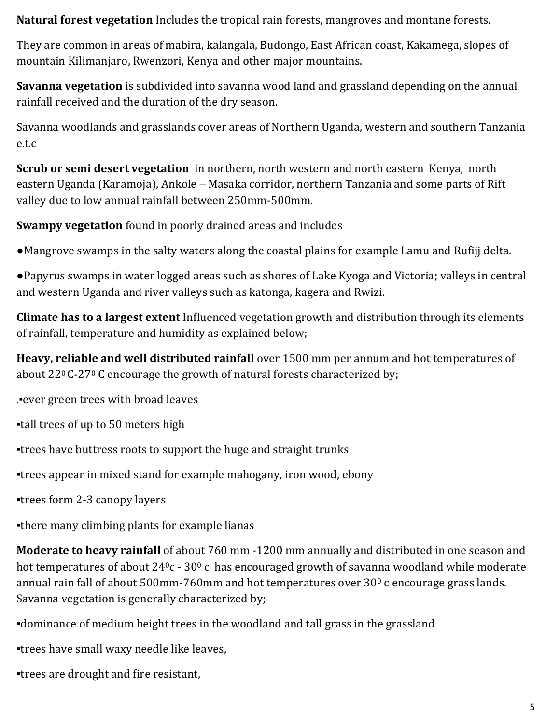**Natural forest vegetation** Includes the tropical rain forests, mangroves and montane forests.

They are common in areas of mabira, kalangala, Budongo, East African coast, Kakamega, slopes of mountain Kilimanjaro, Rwenzori, Kenya and other major mountains.

**Savanna vegetation** is subdivided into savanna wood land and grassland depending on the annual rainfall received and the duration of the dry season.

Savanna woodlands and grasslands cover areas of Northern Uganda, western and southern Tanzania e.t.c

**Scrub or semi desert vegetation** in northern, north western and north eastern Kenya, north eastern Uganda (Karamoja), Ankole – Masaka corridor, northern Tanzania and some parts of Rift valley due to low annual rainfall between 250mm-500mm.

**Swampy vegetation** found in poorly drained areas and includes

●Mangrove swamps in the salty waters along the coastal plains for example Lamu and Rufijj delta.

●Papyrus swamps in water logged areas such as shores of Lake Kyoga and Victoria; valleys in central and western Uganda and river valleys such as katonga, kagera and Rwizi.

**Climate has to a largest extent** Influenced vegetation growth and distribution through its elements of rainfall, temperature and humidity as explained below;

**Heavy, reliable and well distributed rainfall** over 1500 mm per annum and hot temperatures of about  $22^{\circ}$  C-27<sup>°</sup> C encourage the growth of natural forests characterized by;

.▪ever green trees with broad leaves

▪tall trees of up to 50 meters high

▪trees have buttress roots to support the huge and straight trunks

▪trees appear in mixed stand for example mahogany, iron wood, ebony

▪trees form 2-3 canopy layers

▪there many climbing plants for example lianas

**Moderate to heavy rainfall** of about 760 mm -1200 mm annually and distributed in one season and hot temperatures of about  $24^0c - 30^0c$  has encouraged growth of savanna woodland while moderate annual rain fall of about 500mm-760mm and hot temperatures over 30<sup>0</sup> c encourage grass lands. Savanna vegetation is generally characterized by;

▪dominance of medium height trees in the woodland and tall grass in the grassland

▪trees have small waxy needle like leaves,

▪trees are drought and fire resistant,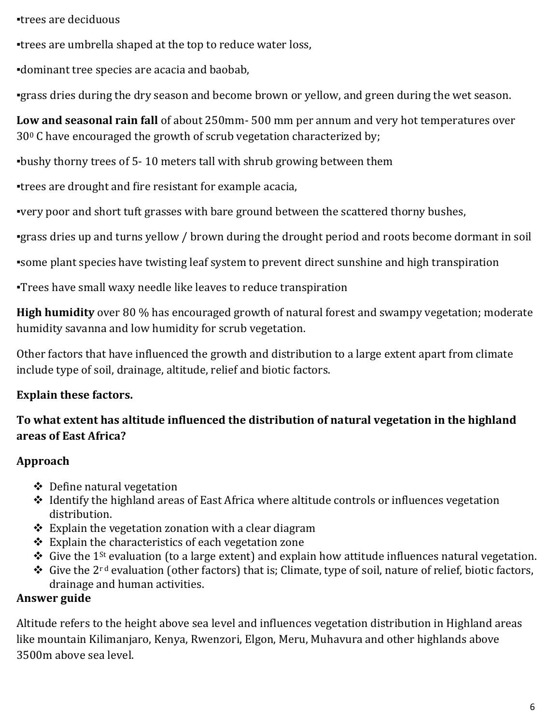▪trees are deciduous

▪trees are umbrella shaped at the top to reduce water loss,

▪dominant tree species are acacia and baobab,

▪grass dries during the dry season and become brown or yellow, and green during the wet season.

**Low and seasonal rain fall** of about 250mm- 500 mm per annum and very hot temperatures over 30<sup>0</sup> C have encouraged the growth of scrub vegetation characterized by;

▪bushy thorny trees of 5- 10 meters tall with shrub growing between them

▪trees are drought and fire resistant for example acacia,

▪very poor and short tuft grasses with bare ground between the scattered thorny bushes,

▪grass dries up and turns yellow / brown during the drought period and roots become dormant in soil

▪some plant species have twisting leaf system to prevent direct sunshine and high transpiration

▪Trees have small waxy needle like leaves to reduce transpiration

**High humidity** over 80 % has encouraged growth of natural forest and swampy vegetation; moderate humidity savanna and low humidity for scrub vegetation.

Other factors that have influenced the growth and distribution to a large extent apart from climate include type of soil, drainage, altitude, relief and biotic factors.

### **Explain these factors.**

# **To what extent has altitude influenced the distribution of natural vegetation in the highland areas of East Africa?**

### **Approach**

- Define natural vegetation
- \* Identify the highland areas of East Africa where altitude controls or influences vegetation distribution.
- $\div$  Explain the vegetation zonation with a clear diagram
- $\triangle$  Explain the characteristics of each vegetation zone
- $\triangle$  Give the 1<sup>st</sup> evaluation (to a large extent) and explain how attitude influences natural vegetation.
- Give the 2<sup>rd</sup> evaluation (other factors) that is; Climate, type of soil, nature of relief, biotic factors, drainage and human activities.

### **Answer guide**

Altitude refers to the height above sea level and influences vegetation distribution in Highland areas like mountain Kilimanjaro, Kenya, Rwenzori, Elgon, Meru, Muhavura and other highlands above 3500m above sea level.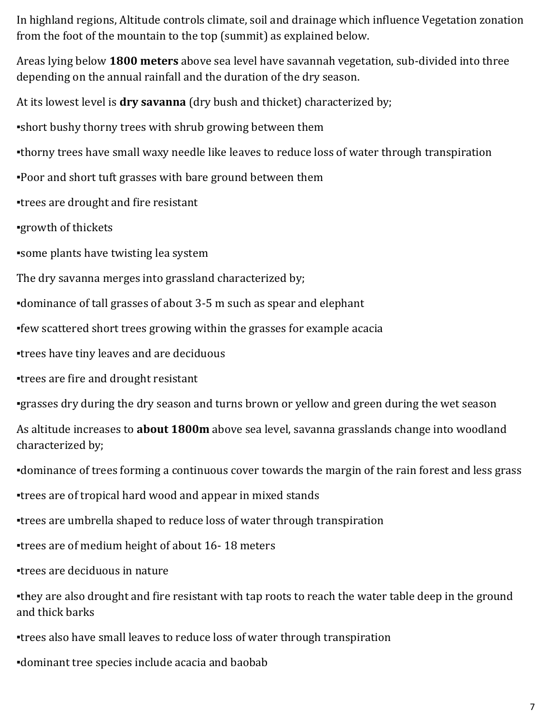In highland regions, Altitude controls climate, soil and drainage which influence Vegetation zonation from the foot of the mountain to the top (summit) as explained below.

Areas lying below **1800 meters** above sea level have savannah vegetation, sub-divided into three depending on the annual rainfall and the duration of the dry season.

At its lowest level is **dry savanna** (dry bush and thicket) characterized by;

▪short bushy thorny trees with shrub growing between them

•thorny trees have small waxy needle like leaves to reduce loss of water through transpiration

▪Poor and short tuft grasses with bare ground between them

▪trees are drought and fire resistant

▪growth of thickets

▪some plants have twisting lea system

The dry savanna merges into grassland characterized by;

▪dominance of tall grasses of about 3-5 m such as spear and elephant

▪few scattered short trees growing within the grasses for example acacia

▪trees have tiny leaves and are deciduous

▪trees are fire and drought resistant

▪grasses dry during the dry season and turns brown or yellow and green during the wet season

As altitude increases to **about 1800m** above sea level, savanna grasslands change into woodland characterized by;

▪dominance of trees forming a continuous cover towards the margin of the rain forest and less grass

▪trees are of tropical hard wood and appear in mixed stands

▪trees are umbrella shaped to reduce loss of water through transpiration

▪trees are of medium height of about 16- 18 meters

▪trees are deciduous in nature

•they are also drought and fire resistant with tap roots to reach the water table deep in the ground and thick barks

▪trees also have small leaves to reduce loss of water through transpiration

▪dominant tree species include acacia and baobab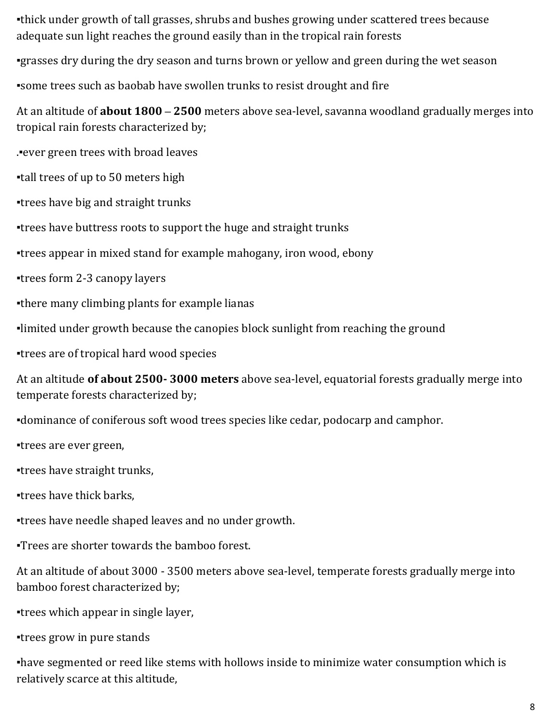▪thick under growth of tall grasses, shrubs and bushes growing under scattered trees because adequate sun light reaches the ground easily than in the tropical rain forests

▪grasses dry during the dry season and turns brown or yellow and green during the wet season

▪some trees such as baobab have swollen trunks to resist drought and fire

At an altitude of **about 1800 – 2500** meters above sea-level, savanna woodland gradually merges into tropical rain forests characterized by;

.▪ever green trees with broad leaves

▪tall trees of up to 50 meters high

▪trees have big and straight trunks

▪trees have buttress roots to support the huge and straight trunks

▪trees appear in mixed stand for example mahogany, iron wood, ebony

▪trees form 2-3 canopy layers

▪there many climbing plants for example lianas

▪limited under growth because the canopies block sunlight from reaching the ground

▪trees are of tropical hard wood species

At an altitude **of about 2500- 3000 meters** above sea-level, equatorial forests gradually merge into temperate forests characterized by;

▪dominance of coniferous soft wood trees species like cedar, podocarp and camphor.

▪trees are ever green,

▪trees have straight trunks,

▪trees have thick barks,

▪trees have needle shaped leaves and no under growth.

▪Trees are shorter towards the bamboo forest.

At an altitude of about 3000 - 3500 meters above sea-level, temperate forests gradually merge into bamboo forest characterized by;

▪trees which appear in single layer,

▪trees grow in pure stands

▪have segmented or reed like stems with hollows inside to minimize water consumption which is relatively scarce at this altitude,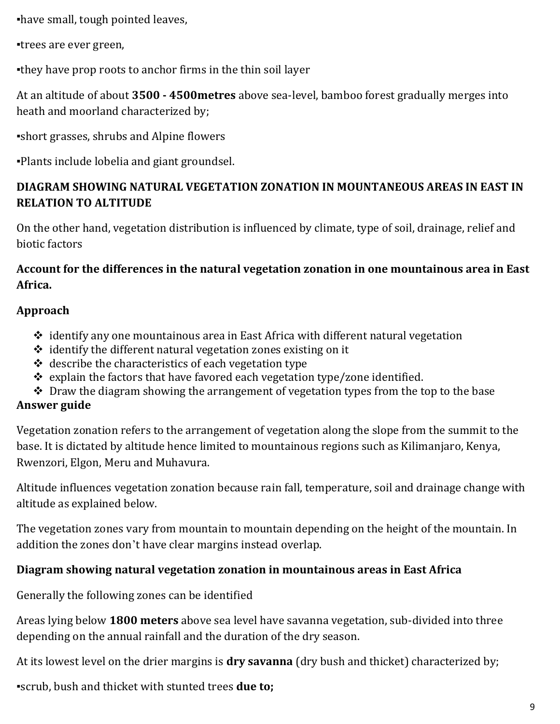▪have small, tough pointed leaves,

▪trees are ever green,

▪they have prop roots to anchor firms in the thin soil layer

At an altitude of about **3500 - 4500metres** above sea-level, bamboo forest gradually merges into heath and moorland characterized by;

▪short grasses, shrubs and Alpine flowers

▪Plants include lobelia and giant groundsel.

### **DIAGRAM SHOWING NATURAL VEGETATION ZONATION IN MOUNTANEOUS AREAS IN EAST IN RELATION TO ALTITUDE**

On the other hand, vegetation distribution is influenced by climate, type of soil, drainage, relief and biotic factors

#### **Account for the differences in the natural vegetation zonation in one mountainous area in East Africa.**

#### **Approach**

- $\triangle$  identify any one mountainous area in East Africa with different natural vegetation
- $\triangleq$  identify the different natural vegetation zones existing on it
- $\triangleleft$  describe the characteristics of each vegetation type
- $\div$  explain the factors that have favored each vegetation type/zone identified.
- $\triangle$  Draw the diagram showing the arrangement of vegetation types from the top to the base

#### **Answer guide**

Vegetation zonation refers to the arrangement of vegetation along the slope from the summit to the base. It is dictated by altitude hence limited to mountainous regions such as Kilimanjaro, Kenya, Rwenzori, Elgon, Meru and Muhavura.

Altitude influences vegetation zonation because rain fall, temperature, soil and drainage change with altitude as explained below.

The vegetation zones vary from mountain to mountain depending on the height of the mountain. In addition the zones don't have clear margins instead overlap.

#### **Diagram showing natural vegetation zonation in mountainous areas in East Africa**

Generally the following zones can be identified

Areas lying below **1800 meters** above sea level have savanna vegetation, sub-divided into three depending on the annual rainfall and the duration of the dry season.

At its lowest level on the drier margins is **dry savanna** (dry bush and thicket) characterized by;

▪scrub, bush and thicket with stunted trees **due to;**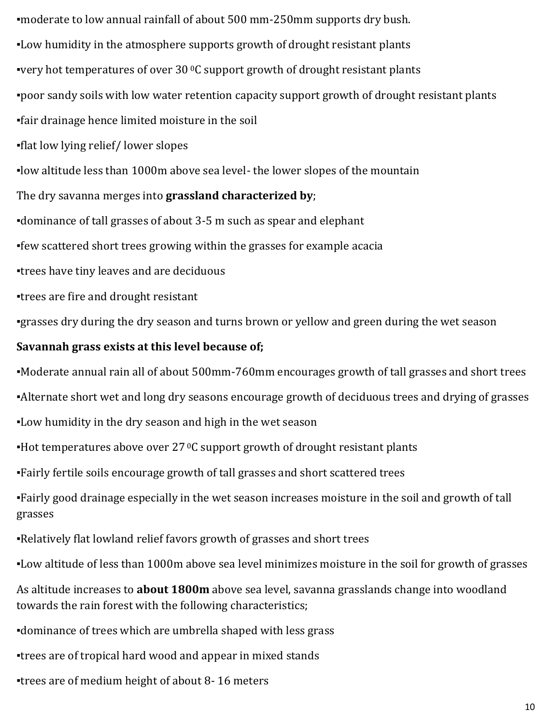▪moderate to low annual rainfall of about 500 mm-250mm supports dry bush. ▪Low humidity in the atmosphere supports growth of drought resistant plants **•very hot temperatures of over 30 °C support growth of drought resistant plants** ▪poor sandy soils with low water retention capacity support growth of drought resistant plants ▪fair drainage hence limited moisture in the soil ▪flat low lying relief/ lower slopes ▪low altitude less than 1000m above sea level- the lower slopes of the mountain The dry savanna merges into **grassland characterized by**;

▪dominance of tall grasses of about 3-5 m such as spear and elephant

▪few scattered short trees growing within the grasses for example acacia

▪trees have tiny leaves and are deciduous

▪trees are fire and drought resistant

▪grasses dry during the dry season and turns brown or yellow and green during the wet season

#### **Savannah grass exists at this level because of;**

▪Moderate annual rain all of about 500mm-760mm encourages growth of tall grasses and short trees

•Alternate short wet and long dry seasons encourage growth of deciduous trees and drying of grasses

▪Low humidity in the dry season and high in the wet season

**•Hot temperatures above over 27 °C support growth of drought resistant plants** 

▪Fairly fertile soils encourage growth of tall grasses and short scattered trees

▪Fairly good drainage especially in the wet season increases moisture in the soil and growth of tall grasses

▪Relatively flat lowland relief favors growth of grasses and short trees

▪Low altitude of less than 1000m above sea level minimizes moisture in the soil for growth of grasses

As altitude increases to **about 1800m** above sea level, savanna grasslands change into woodland towards the rain forest with the following characteristics;

▪dominance of trees which are umbrella shaped with less grass

▪trees are of tropical hard wood and appear in mixed stands

▪trees are of medium height of about 8- 16 meters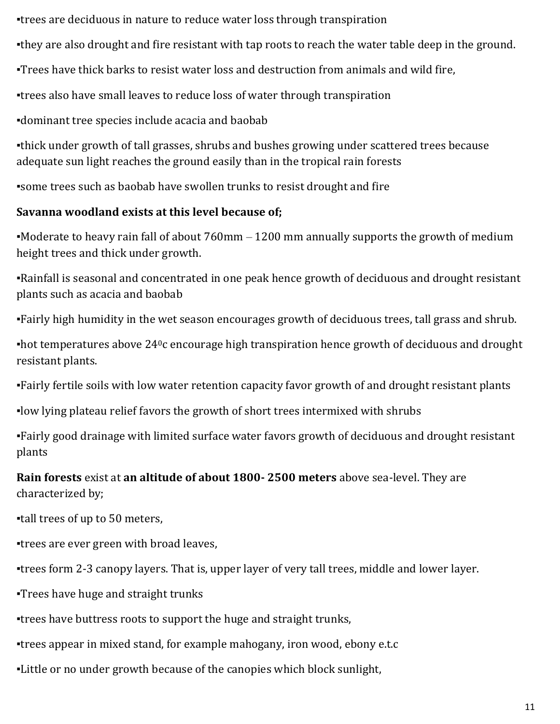▪trees are deciduous in nature to reduce water loss through transpiration

. they are also drought and fire resistant with tap roots to reach the water table deep in the ground.

▪Trees have thick barks to resist water loss and destruction from animals and wild fire,

▪trees also have small leaves to reduce loss of water through transpiration

▪dominant tree species include acacia and baobab

▪thick under growth of tall grasses, shrubs and bushes growing under scattered trees because adequate sun light reaches the ground easily than in the tropical rain forests

▪some trees such as baobab have swollen trunks to resist drought and fire

### **Savanna woodland exists at this level because of;**

•Moderate to heavy rain fall of about 760mm – 1200 mm annually supports the growth of medium height trees and thick under growth.

▪Rainfall is seasonal and concentrated in one peak hence growth of deciduous and drought resistant plants such as acacia and baobab

▪Fairly high humidity in the wet season encourages growth of deciduous trees, tall grass and shrub.

 $\bullet$  hot temperatures above 24<sup>0</sup>c encourage high transpiration hence growth of deciduous and drought resistant plants.

▪Fairly fertile soils with low water retention capacity favor growth of and drought resistant plants

▪low lying plateau relief favors the growth of short trees intermixed with shrubs

▪Fairly good drainage with limited surface water favors growth of deciduous and drought resistant plants

**Rain forests** exist at **an altitude of about 1800- 2500 meters** above sea-level. They are characterized by;

▪tall trees of up to 50 meters,

▪trees are ever green with broad leaves,

▪trees form 2-3 canopy layers. That is, upper layer of very tall trees, middle and lower layer.

▪Trees have huge and straight trunks

▪trees have buttress roots to support the huge and straight trunks,

▪trees appear in mixed stand, for example mahogany, iron wood, ebony e.t.c

▪Little or no under growth because of the canopies which block sunlight,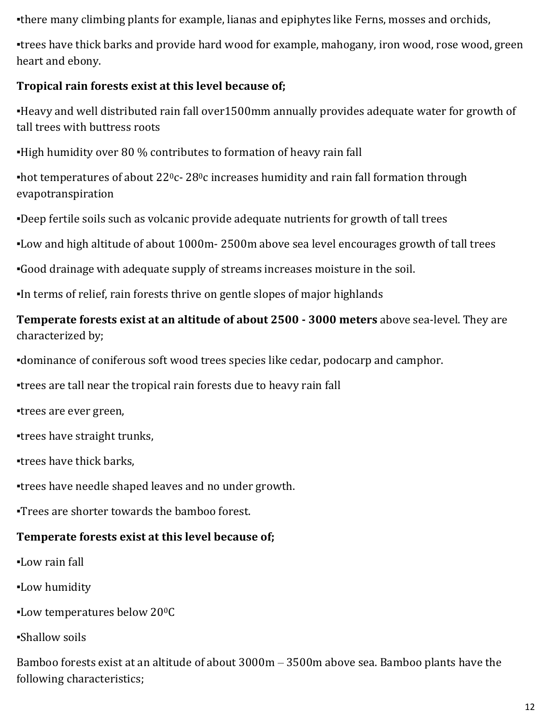•there many climbing plants for example, lianas and epiphytes like Ferns, mosses and orchids,

▪trees have thick barks and provide hard wood for example, mahogany, iron wood, rose wood, green heart and ebony.

#### **Tropical rain forests exist at this level because of;**

▪Heavy and well distributed rain fall over1500mm annually provides adequate water for growth of tall trees with buttress roots

▪High humidity over 80 % contributes to formation of heavy rain fall

**•hot temperatures of about 22<sup>0</sup>c- 28<sup>0</sup>c increases humidity and rain fall formation through** evapotranspiration

▪Deep fertile soils such as volcanic provide adequate nutrients for growth of tall trees

▪Low and high altitude of about 1000m- 2500m above sea level encourages growth of tall trees

▪Good drainage with adequate supply of streams increases moisture in the soil.

▪In terms of relief, rain forests thrive on gentle slopes of major highlands

### **Temperate forests exist at an altitude of about 2500 - 3000 meters** above sea-level. They are characterized by;

▪dominance of coniferous soft wood trees species like cedar, podocarp and camphor.

▪trees are tall near the tropical rain forests due to heavy rain fall

▪trees are ever green,

▪trees have straight trunks,

▪trees have thick barks,

▪trees have needle shaped leaves and no under growth.

▪Trees are shorter towards the bamboo forest.

### **Temperate forests exist at this level because of;**

- ▪Low rain fall
- ▪Low humidity
- ▪Low temperatures below 200C
- ▪Shallow soils

Bamboo forests exist at an altitude of about 3000m – 3500m above sea. Bamboo plants have the following characteristics;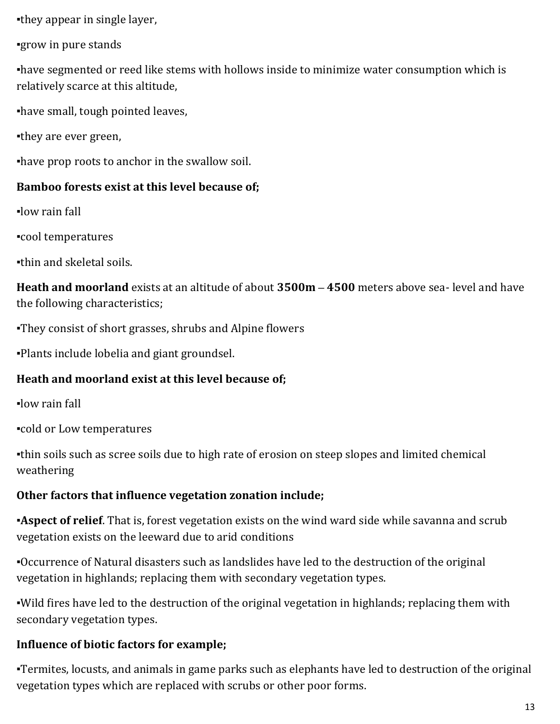▪they appear in single layer,

▪grow in pure stands

▪have segmented or reed like stems with hollows inside to minimize water consumption which is relatively scarce at this altitude,

▪have small, tough pointed leaves,

▪they are ever green,

▪have prop roots to anchor in the swallow soil.

#### **Bamboo forests exist at this level because of;**

▪low rain fall

▪cool temperatures

▪thin and skeletal soils.

**Heath and moorland** exists at an altitude of about **3500m – 4500** meters above sea- level and have the following characteristics;

▪They consist of short grasses, shrubs and Alpine flowers

▪Plants include lobelia and giant groundsel.

### **Heath and moorland exist at this level because of;**

▪low rain fall

▪cold or Low temperatures

▪thin soils such as scree soils due to high rate of erosion on steep slopes and limited chemical weathering

#### **Other factors that influence vegetation zonation include;**

**Aspect of relief**. That is, forest vegetation exists on the wind ward side while savanna and scrub vegetation exists on the leeward due to arid conditions

▪Occurrence of Natural disasters such as landslides have led to the destruction of the original vegetation in highlands; replacing them with secondary vegetation types.

▪Wild fires have led to the destruction of the original vegetation in highlands; replacing them with secondary vegetation types.

### **Influence of biotic factors for example;**

▪Termites, locusts, and animals in game parks such as elephants have led to destruction of the original vegetation types which are replaced with scrubs or other poor forms.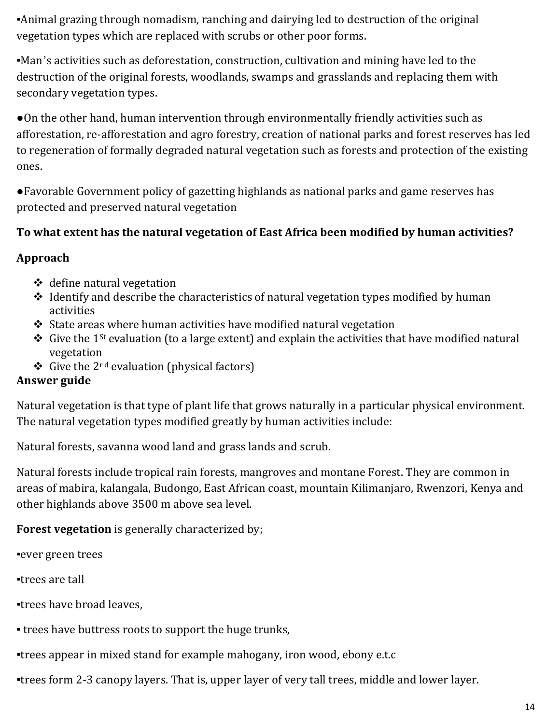▪Animal grazing through nomadism, ranching and dairying led to destruction of the original vegetation types which are replaced with scrubs or other poor forms.

▪Man's activities such as deforestation, construction, cultivation and mining have led to the destruction of the original forests, woodlands, swamps and grasslands and replacing them with secondary vegetation types.

●On the other hand, human intervention through environmentally friendly activities such as afforestation, re-afforestation and agro forestry, creation of national parks and forest reserves has led to regeneration of formally degraded natural vegetation such as forests and protection of the existing ones.

●Favorable Government policy of gazetting highlands as national parks and game reserves has protected and preserved natural vegetation

#### **To what extent has the natural vegetation of East Africa been modified by human activities?**

#### **Approach**

- $\triangleleft$  define natural vegetation
- $\triangleleft$  Identify and describe the characteristics of natural vegetation types modified by human activities
- $\triangle$  State areas where human activities have modified natural vegetation
- $\cdot$  Give the 1<sup>st</sup> evaluation (to a large extent) and explain the activities that have modified natural vegetation
- $\div$  Give the 2<sup>rd</sup> evaluation (physical factors)

#### **Answer guide**

Natural vegetation is that type of plant life that grows naturally in a particular physical environment. The natural vegetation types modified greatly by human activities include:

Natural forests, savanna wood land and grass lands and scrub.

Natural forests include tropical rain forests, mangroves and montane Forest. They are common in areas of mabira, kalangala, Budongo, East African coast, mountain Kilimanjaro, Rwenzori, Kenya and other highlands above 3500 m above sea level.

#### **Forest vegetation** is generally characterized by;

▪ever green trees

▪trees are tall

▪trees have broad leaves,

▪ trees have buttress roots to support the huge trunks,

▪trees appear in mixed stand for example mahogany, iron wood, ebony e.t.c

▪trees form 2-3 canopy layers. That is, upper layer of very tall trees, middle and lower layer.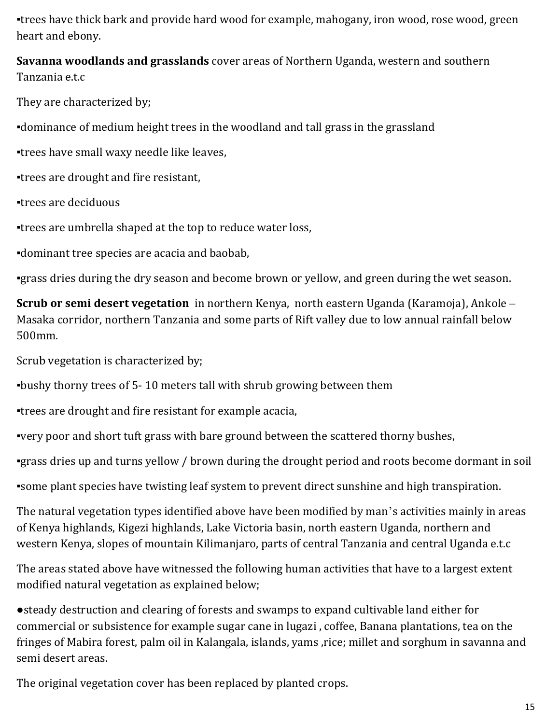▪trees have thick bark and provide hard wood for example, mahogany, iron wood, rose wood, green heart and ebony.

**Savanna woodlands and grasslands** cover areas of Northern Uganda, western and southern Tanzania e.t.c

They are characterized by;

▪dominance of medium height trees in the woodland and tall grass in the grassland

▪trees have small waxy needle like leaves,

▪trees are drought and fire resistant,

▪trees are deciduous

▪trees are umbrella shaped at the top to reduce water loss,

▪dominant tree species are acacia and baobab,

▪grass dries during the dry season and become brown or yellow, and green during the wet season.

**Scrub or semi desert vegetation** in northern Kenya, north eastern Uganda (Karamoja), Ankole – Masaka corridor, northern Tanzania and some parts of Rift valley due to low annual rainfall below 500mm.

Scrub vegetation is characterized by;

▪bushy thorny trees of 5- 10 meters tall with shrub growing between them

▪trees are drought and fire resistant for example acacia,

▪very poor and short tuft grass with bare ground between the scattered thorny bushes,

▪grass dries up and turns yellow / brown during the drought period and roots become dormant in soil

▪some plant species have twisting leaf system to prevent direct sunshine and high transpiration.

The natural vegetation types identified above have been modified by man's activities mainly in areas of Kenya highlands, Kigezi highlands, Lake Victoria basin, north eastern Uganda, northern and western Kenya, slopes of mountain Kilimanjaro, parts of central Tanzania and central Uganda e.t.c

The areas stated above have witnessed the following human activities that have to a largest extent modified natural vegetation as explained below;

●steady destruction and clearing of forests and swamps to expand cultivable land either for commercial or subsistence for example sugar cane in lugazi , coffee, Banana plantations, tea on the fringes of Mabira forest, palm oil in Kalangala, islands, yams ,rice; millet and sorghum in savanna and semi desert areas.

The original vegetation cover has been replaced by planted crops.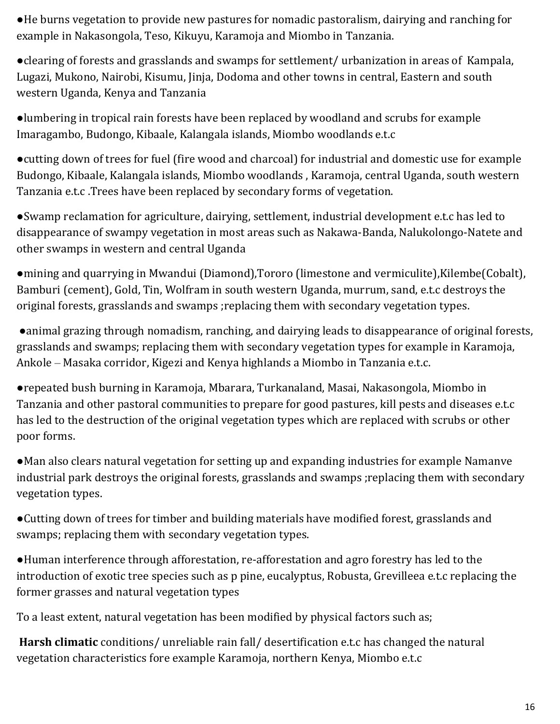●He burns vegetation to provide new pastures for nomadic pastoralism, dairying and ranching for example in Nakasongola, Teso, Kikuyu, Karamoja and Miombo in Tanzania.

●clearing of forests and grasslands and swamps for settlement/ urbanization in areas of Kampala, Lugazi, Mukono, Nairobi, Kisumu, Jinja, Dodoma and other towns in central, Eastern and south western Uganda, Kenya and Tanzania

●lumbering in tropical rain forests have been replaced by woodland and scrubs for example Imaragambo, Budongo, Kibaale, Kalangala islands, Miombo woodlands e.t.c

●cutting down of trees for fuel (fire wood and charcoal) for industrial and domestic use for example Budongo, Kibaale, Kalangala islands, Miombo woodlands , Karamoja, central Uganda, south western Tanzania e.t.c .Trees have been replaced by secondary forms of vegetation.

●Swamp reclamation for agriculture, dairying, settlement, industrial development e.t.c has led to disappearance of swampy vegetation in most areas such as Nakawa-Banda, Nalukolongo-Natete and other swamps in western and central Uganda

●mining and quarrying in Mwandui (Diamond),Tororo (limestone and vermiculite),Kilembe(Cobalt), Bamburi (cement), Gold, Tin, Wolfram in south western Uganda, murrum, sand, e.t.c destroys the original forests, grasslands and swamps ;replacing them with secondary vegetation types.

●animal grazing through nomadism, ranching, and dairying leads to disappearance of original forests, grasslands and swamps; replacing them with secondary vegetation types for example in Karamoja, Ankole – Masaka corridor, Kigezi and Kenya highlands a Miombo in Tanzania e.t.c.

●repeated bush burning in Karamoja, Mbarara, Turkanaland, Masai, Nakasongola, Miombo in Tanzania and other pastoral communities to prepare for good pastures, kill pests and diseases e.t.c has led to the destruction of the original vegetation types which are replaced with scrubs or other poor forms.

●Man also clears natural vegetation for setting up and expanding industries for example Namanve industrial park destroys the original forests, grasslands and swamps ;replacing them with secondary vegetation types.

●Cutting down of trees for timber and building materials have modified forest, grasslands and swamps; replacing them with secondary vegetation types.

●Human interference through afforestation, re-afforestation and agro forestry has led to the introduction of exotic tree species such as p pine, eucalyptus, Robusta, Grevilleea e.t.c replacing the former grasses and natural vegetation types

To a least extent, natural vegetation has been modified by physical factors such as;

**Harsh climatic** conditions/ unreliable rain fall/ desertification e.t.c has changed the natural vegetation characteristics fore example Karamoja, northern Kenya, Miombo e.t.c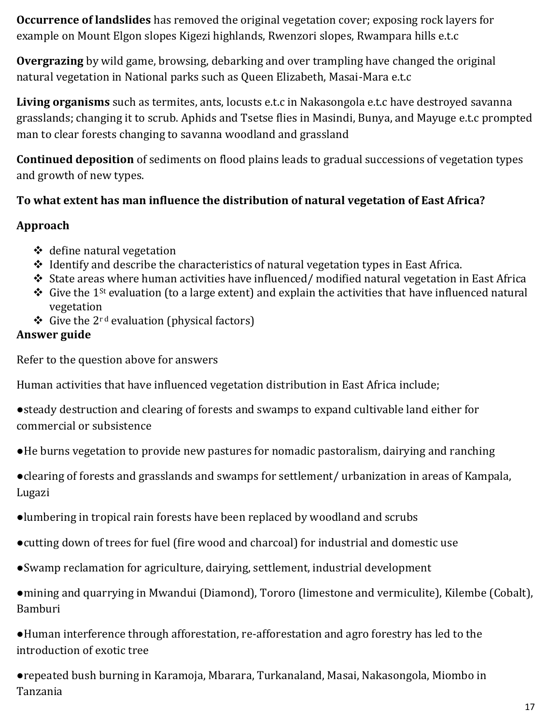**Occurrence of landslides** has removed the original vegetation cover; exposing rock layers for example on Mount Elgon slopes Kigezi highlands, Rwenzori slopes, Rwampara hills e.t.c

**Overgrazing** by wild game, browsing, debarking and over trampling have changed the original natural vegetation in National parks such as Queen Elizabeth, Masai-Mara e.t.c

**Living organisms** such as termites, ants, locusts e.t.c in Nakasongola e.t.c have destroyed savanna grasslands; changing it to scrub. Aphids and Tsetse flies in Masindi, Bunya, and Mayuge e.t.c prompted man to clear forests changing to savanna woodland and grassland

**Continued deposition** of sediments on flood plains leads to gradual successions of vegetation types and growth of new types.

### **To what extent has man influence the distribution of natural vegetation of East Africa?**

#### **Approach**

- $\triangleleft$  define natural vegetation
- $\triangle$  Identify and describe the characteristics of natural vegetation types in East Africa.
- $\cdot$  State areas where human activities have influenced/ modified natural vegetation in East Africa
- $\div$  Give the 1<sup>st</sup> evaluation (to a large extent) and explain the activities that have influenced natural vegetation
- $\div$  Give the 2<sup>rd</sup> evaluation (physical factors)

#### **Answer guide**

Refer to the question above for answers

Human activities that have influenced vegetation distribution in East Africa include;

- ●steady destruction and clearing of forests and swamps to expand cultivable land either for commercial or subsistence
- ●He burns vegetation to provide new pastures for nomadic pastoralism, dairying and ranching

●clearing of forests and grasslands and swamps for settlement/ urbanization in areas of Kampala, Lugazi

- ●lumbering in tropical rain forests have been replaced by woodland and scrubs
- ●cutting down of trees for fuel (fire wood and charcoal) for industrial and domestic use
- ●Swamp reclamation for agriculture, dairying, settlement, industrial development

●mining and quarrying in Mwandui (Diamond), Tororo (limestone and vermiculite), Kilembe (Cobalt), Bamburi

●Human interference through afforestation, re-afforestation and agro forestry has led to the introduction of exotic tree

●repeated bush burning in Karamoja, Mbarara, Turkanaland, Masai, Nakasongola, Miombo in Tanzania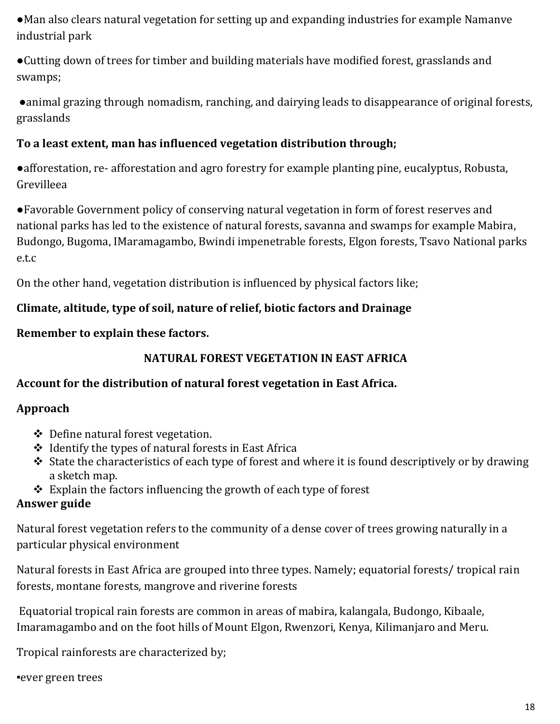●Man also clears natural vegetation for setting up and expanding industries for example Namanve industrial park

●Cutting down of trees for timber and building materials have modified forest, grasslands and swamps;

●animal grazing through nomadism, ranching, and dairying leads to disappearance of original forests, grasslands

#### **To a least extent, man has influenced vegetation distribution through;**

●afforestation, re- afforestation and agro forestry for example planting pine, eucalyptus, Robusta, Grevilleea

●Favorable Government policy of conserving natural vegetation in form of forest reserves and national parks has led to the existence of natural forests, savanna and swamps for example Mabira, Budongo, Bugoma, IMaramagambo, Bwindi impenetrable forests, Elgon forests, Tsavo National parks e.t.c

On the other hand, vegetation distribution is influenced by physical factors like;

### **Climate, altitude, type of soil, nature of relief, biotic factors and Drainage**

**Remember to explain these factors.**

### **NATURAL FOREST VEGETATION IN EAST AFRICA**

### **Account for the distribution of natural forest vegetation in East Africa.**

#### **Approach**

- Define natural forest vegetation.
- $\div$  Identify the types of natural forests in East Africa
- $\cdot$  State the characteristics of each type of forest and where it is found descriptively or by drawing a sketch map.
- $\triangle$  Explain the factors influencing the growth of each type of forest

### **Answer guide**

Natural forest vegetation refers to the community of a dense cover of trees growing naturally in a particular physical environment

Natural forests in East Africa are grouped into three types. Namely; equatorial forests/ tropical rain forests, montane forests, mangrove and riverine forests

Equatorial tropical rain forests are common in areas of mabira, kalangala, Budongo, Kibaale, Imaramagambo and on the foot hills of Mount Elgon, Rwenzori, Kenya, Kilimanjaro and Meru.

Tropical rainforests are characterized by;

#### ▪ever green trees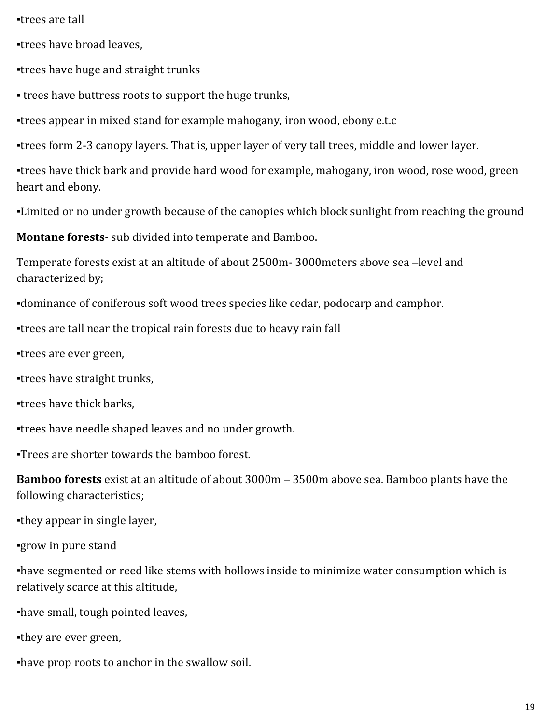▪trees are tall

▪trees have broad leaves,

▪trees have huge and straight trunks

• trees have buttress roots to support the huge trunks,

▪trees appear in mixed stand for example mahogany, iron wood, ebony e.t.c

▪trees form 2-3 canopy layers. That is, upper layer of very tall trees, middle and lower layer.

▪trees have thick bark and provide hard wood for example, mahogany, iron wood, rose wood, green heart and ebony.

•Limited or no under growth because of the canopies which block sunlight from reaching the ground

**Montane forests**- sub divided into temperate and Bamboo.

Temperate forests exist at an altitude of about 2500m- 3000meters above sea –level and characterized by;

▪dominance of coniferous soft wood trees species like cedar, podocarp and camphor.

▪trees are tall near the tropical rain forests due to heavy rain fall

▪trees are ever green,

▪trees have straight trunks,

▪trees have thick barks,

▪trees have needle shaped leaves and no under growth.

▪Trees are shorter towards the bamboo forest.

**Bamboo forests** exist at an altitude of about 3000m – 3500m above sea. Bamboo plants have the following characteristics;

▪they appear in single layer,

▪grow in pure stand

▪have segmented or reed like stems with hollows inside to minimize water consumption which is relatively scarce at this altitude,

▪have small, tough pointed leaves,

▪they are ever green,

▪have prop roots to anchor in the swallow soil.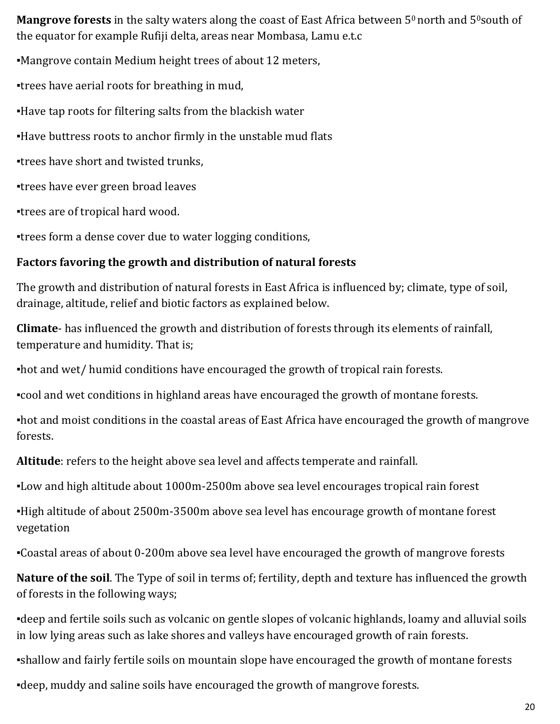**Mangrove forests** in the salty waters along the coast of East Africa between 5<sup>0</sup> north and 5<sup>0</sup> south of the equator for example Rufiji delta, areas near Mombasa, Lamu e.t.c

▪Mangrove contain Medium height trees of about 12 meters,

▪trees have aerial roots for breathing in mud,

▪Have tap roots for filtering salts from the blackish water

▪Have buttress roots to anchor firmly in the unstable mud flats

▪trees have short and twisted trunks,

▪trees have ever green broad leaves

▪trees are of tropical hard wood.

▪trees form a dense cover due to water logging conditions,

### **Factors favoring the growth and distribution of natural forests**

The growth and distribution of natural forests in East Africa is influenced by; climate, type of soil, drainage, altitude, relief and biotic factors as explained below.

**Climate**- has influenced the growth and distribution of forests through its elements of rainfall, temperature and humidity. That is;

▪hot and wet/ humid conditions have encouraged the growth of tropical rain forests.

▪cool and wet conditions in highland areas have encouraged the growth of montane forests.

▪hot and moist conditions in the coastal areas of East Africa have encouraged the growth of mangrove forests.

**Altitude**: refers to the height above sea level and affects temperate and rainfall.

▪Low and high altitude about 1000m-2500m above sea level encourages tropical rain forest

▪High altitude of about 2500m-3500m above sea level has encourage growth of montane forest vegetation

▪Coastal areas of about 0-200m above sea level have encouraged the growth of mangrove forests

**Nature of the soil**. The Type of soil in terms of; fertility, depth and texture has influenced the growth of forests in the following ways;

▪deep and fertile soils such as volcanic on gentle slopes of volcanic highlands, loamy and alluvial soils in low lying areas such as lake shores and valleys have encouraged growth of rain forests.

▪shallow and fairly fertile soils on mountain slope have encouraged the growth of montane forests ▪deep, muddy and saline soils have encouraged the growth of mangrove forests.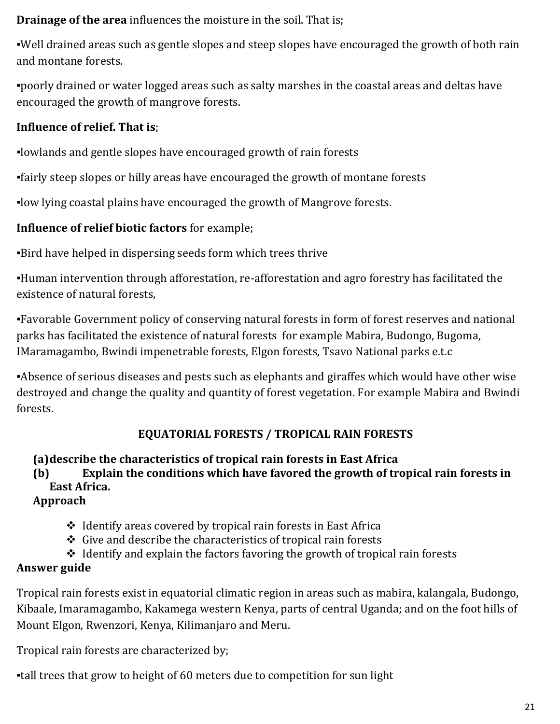**Drainage of the area** influences the moisture in the soil. That is;

▪Well drained areas such as gentle slopes and steep slopes have encouraged the growth of both rain and montane forests.

▪poorly drained or water logged areas such as salty marshes in the coastal areas and deltas have encouraged the growth of mangrove forests.

#### **Influence of relief. That is**;

▪lowlands and gentle slopes have encouraged growth of rain forests

▪fairly steep slopes or hilly areas have encouraged the growth of montane forests

▪low lying coastal plains have encouraged the growth of Mangrove forests.

#### **Influence of relief biotic factors** for example;

▪Bird have helped in dispersing seeds form which trees thrive

▪Human intervention through afforestation, re-afforestation and agro forestry has facilitated the existence of natural forests,

▪Favorable Government policy of conserving natural forests in form of forest reserves and national parks has facilitated the existence of natural forests for example Mabira, Budongo, Bugoma, IMaramagambo, Bwindi impenetrable forests, Elgon forests, Tsavo National parks e.t.c

▪Absence of serious diseases and pests such as elephants and giraffes which would have other wise destroyed and change the quality and quantity of forest vegetation. For example Mabira and Bwindi forests.

### **EQUATORIAL FORESTS / TROPICAL RAIN FORESTS**

### **(a)describe the characteristics of tropical rain forests in East Africa**

**(b) Explain the conditions which have favored the growth of tropical rain forests in East Africa.**

### **Approach**

- $\triangle$  Identify areas covered by tropical rain forests in East Africa
- $\triangle$  Give and describe the characteristics of tropical rain forests
- $\triangleleft$  Identify and explain the factors favoring the growth of tropical rain forests

### **Answer guide**

Tropical rain forests exist in equatorial climatic region in areas such as mabira, kalangala, Budongo, Kibaale, Imaramagambo, Kakamega western Kenya, parts of central Uganda; and on the foot hills of Mount Elgon, Rwenzori, Kenya, Kilimanjaro and Meru.

Tropical rain forests are characterized by;

▪tall trees that grow to height of 60 meters due to competition for sun light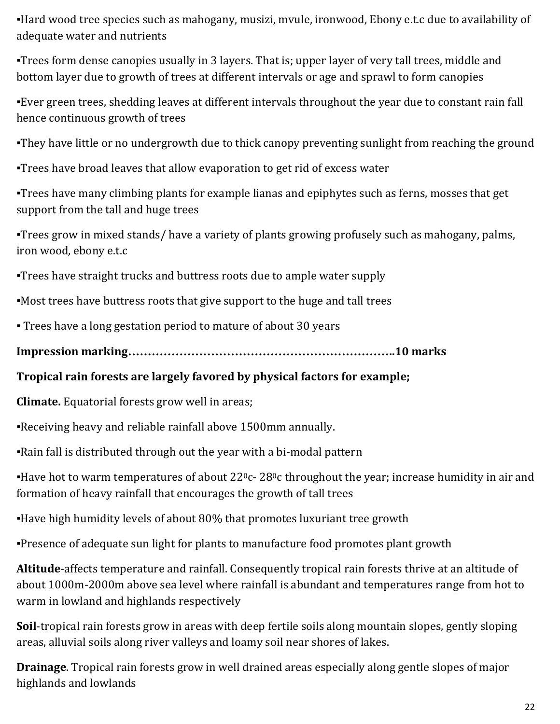▪Hard wood tree species such as mahogany, musizi, mvule, ironwood, Ebony e.t.c due to availability of adequate water and nutrients

▪Trees form dense canopies usually in 3 layers. That is; upper layer of very tall trees, middle and bottom layer due to growth of trees at different intervals or age and sprawl to form canopies

▪Ever green trees, shedding leaves at different intervals throughout the year due to constant rain fall hence continuous growth of trees

•They have little or no undergrowth due to thick canopy preventing sunlight from reaching the ground

▪Trees have broad leaves that allow evaporation to get rid of excess water

▪Trees have many climbing plants for example lianas and epiphytes such as ferns, mosses that get support from the tall and huge trees

▪Trees grow in mixed stands/ have a variety of plants growing profusely such as mahogany, palms, iron wood, ebony e.t.c

▪Trees have straight trucks and buttress roots due to ample water supply

▪Most trees have buttress roots that give support to the huge and tall trees

▪ Trees have a long gestation period to mature of about 30 years

**Impression marking…………………………………………………………..10 marks**

### **Tropical rain forests are largely favored by physical factors for example;**

**Climate.** Equatorial forests grow well in areas;

▪Receiving heavy and reliable rainfall above 1500mm annually.

•Rain fall is distributed through out the year with a bi-modal pattern

**Have hot to warm temperatures of about 22<sup>0</sup>c- 28<sup>0</sup>c throughout the year; increase humidity in air and** formation of heavy rainfall that encourages the growth of tall trees

▪Have high humidity levels of about 80% that promotes luxuriant tree growth

▪Presence of adequate sun light for plants to manufacture food promotes plant growth

**Altitude**-affects temperature and rainfall. Consequently tropical rain forests thrive at an altitude of about 1000m-2000m above sea level where rainfall is abundant and temperatures range from hot to warm in lowland and highlands respectively

**Soil**-tropical rain forests grow in areas with deep fertile soils along mountain slopes, gently sloping areas, alluvial soils along river valleys and loamy soil near shores of lakes.

**Drainage**. Tropical rain forests grow in well drained areas especially along gentle slopes of major highlands and lowlands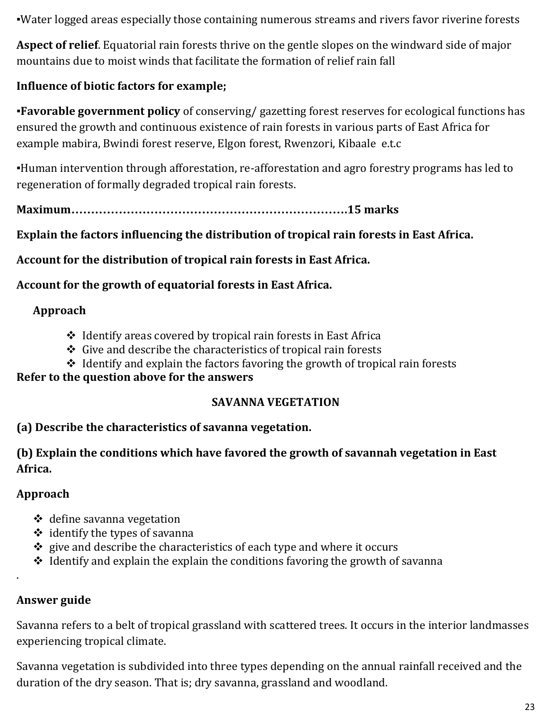▪Water logged areas especially those containing numerous streams and rivers favor riverine forests

**Aspect of relief**. Equatorial rain forests thrive on the gentle slopes on the windward side of major mountains due to moist winds that facilitate the formation of relief rain fall

### **Influence of biotic factors for example;**

▪**Favorable government policy** of conserving/ gazetting forest reserves for ecological functions has ensured the growth and continuous existence of rain forests in various parts of East Africa for example mabira, Bwindi forest reserve, Elgon forest, Rwenzori, Kibaale e.t.c

▪Human intervention through afforestation, re-afforestation and agro forestry programs has led to regeneration of formally degraded tropical rain forests.

**Maximum…………………………………………………………….15 marks**

### **Explain the factors influencing the distribution of tropical rain forests in East Africa.**

**Account for the distribution of tropical rain forests in East Africa.** 

**Account for the growth of equatorial forests in East Africa.**

### **Approach**

- $\triangleleft$  Identify areas covered by tropical rain forests in East Africa
- $\div$  Give and describe the characteristics of tropical rain forests
- $\triangleleft$  Identify and explain the factors favoring the growth of tropical rain forests

#### **Refer to the question above for the answers**

### **SAVANNA VEGETATION**

### **(a) Describe the characteristics of savanna vegetation.**

**(b) Explain the conditions which have favored the growth of savannah vegetation in East Africa.**

### **Approach**

- $\triangleleft$  define savanna vegetation
- $\div$  identify the types of savanna
- $\div$  give and describe the characteristics of each type and where it occurs
- $\triangle$  Identify and explain the explain the conditions favoring the growth of savanna

# **Answer guide**

.

Savanna refers to a belt of tropical grassland with scattered trees. It occurs in the interior landmasses experiencing tropical climate.

Savanna vegetation is subdivided into three types depending on the annual rainfall received and the duration of the dry season. That is; dry savanna, grassland and woodland.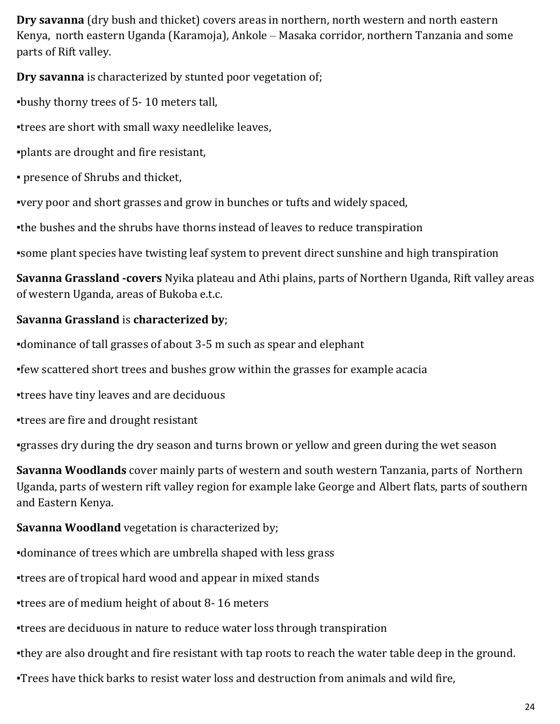**Dry savanna** (dry bush and thicket) covers areas in northern, north western and north eastern Kenya, north eastern Uganda (Karamoja), Ankole – Masaka corridor, northern Tanzania and some parts of Rift valley.

**Dry savanna** is characterized by stunted poor vegetation of;

▪bushy thorny trees of 5- 10 meters tall,

▪trees are short with small waxy needlelike leaves,

▪plants are drought and fire resistant,

▪ presence of Shrubs and thicket,

▪very poor and short grasses and grow in bunches or tufts and widely spaced,

▪the bushes and the shrubs have thorns instead of leaves to reduce transpiration

▪some plant species have twisting leaf system to prevent direct sunshine and high transpiration

**Savanna Grassland -covers** Nyika plateau and Athi plains, parts of Northern Uganda, Rift valley areas of western Uganda, areas of Bukoba e.t.c.

### **Savanna Grassland** is **characterized by**;

▪dominance of tall grasses of about 3-5 m such as spear and elephant

▪few scattered short trees and bushes grow within the grasses for example acacia

▪trees have tiny leaves and are deciduous

▪trees are fire and drought resistant

▪grasses dry during the dry season and turns brown or yellow and green during the wet season

**Savanna Woodlands** cover mainly parts of western and south western Tanzania, parts of Northern Uganda, parts of western rift valley region for example lake George and Albert flats, parts of southern and Eastern Kenya.

### **Savanna Woodland** vegetation is characterized by;

▪dominance of trees which are umbrella shaped with less grass

▪trees are of tropical hard wood and appear in mixed stands

▪trees are of medium height of about 8- 16 meters

▪trees are deciduous in nature to reduce water loss through transpiration

. they are also drought and fire resistant with tap roots to reach the water table deep in the ground.

**Trees have thick barks to resist water loss and destruction from animals and wild fire.**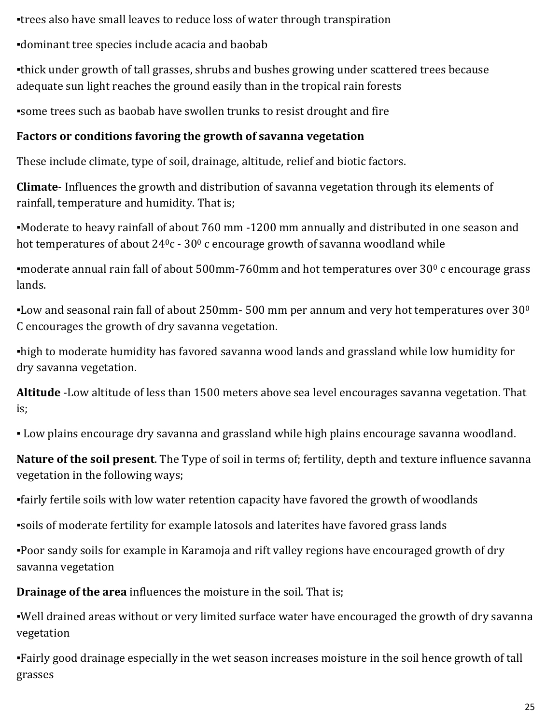▪trees also have small leaves to reduce loss of water through transpiration

▪dominant tree species include acacia and baobab

▪thick under growth of tall grasses, shrubs and bushes growing under scattered trees because adequate sun light reaches the ground easily than in the tropical rain forests

▪some trees such as baobab have swollen trunks to resist drought and fire

### **Factors or conditions favoring the growth of savanna vegetation**

These include climate, type of soil, drainage, altitude, relief and biotic factors.

**Climate**- Influences the growth and distribution of savanna vegetation through its elements of rainfall, temperature and humidity. That is;

▪Moderate to heavy rainfall of about 760 mm -1200 mm annually and distributed in one season and hot temperatures of about  $24^0c - 30^0c$  encourage growth of savanna woodland while

moderate annual rain fall of about  $500$ mm-760mm and hot temperatures over  $30^{\circ}$  c encourage grass lands.

**-Low and seasonal rain fall of about 250mm- 500 mm per annum and very hot temperatures over 30<sup>0</sup>** C encourages the growth of dry savanna vegetation.

•high to moderate humidity has favored savanna wood lands and grassland while low humidity for dry savanna vegetation.

**Altitude** -Low altitude of less than 1500 meters above sea level encourages savanna vegetation. That is;

▪ Low plains encourage dry savanna and grassland while high plains encourage savanna woodland.

**Nature of the soil present**. The Type of soil in terms of; fertility, depth and texture influence savanna vegetation in the following ways;

▪fairly fertile soils with low water retention capacity have favored the growth of woodlands

▪soils of moderate fertility for example latosols and laterites have favored grass lands

▪Poor sandy soils for example in Karamoja and rift valley regions have encouraged growth of dry savanna vegetation

**Drainage of the area** influences the moisture in the soil. That is:

▪Well drained areas without or very limited surface water have encouraged the growth of dry savanna vegetation

▪Fairly good drainage especially in the wet season increases moisture in the soil hence growth of tall grasses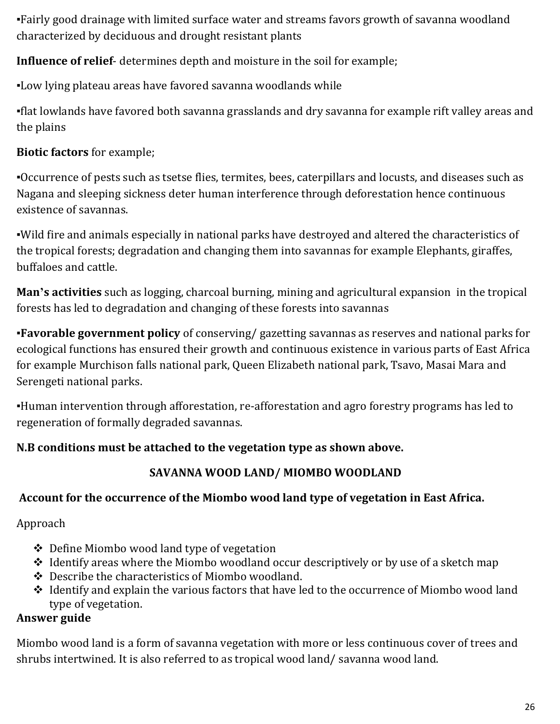▪Fairly good drainage with limited surface water and streams favors growth of savanna woodland characterized by deciduous and drought resistant plants

**Influence of relief**- determines depth and moisture in the soil for example;

▪Low lying plateau areas have favored savanna woodlands while

▪flat lowlands have favored both savanna grasslands and dry savanna for example rift valley areas and the plains

### **Biotic factors** for example;

▪Occurrence of pests such as tsetse flies, termites, bees, caterpillars and locusts, and diseases such as Nagana and sleeping sickness deter human interference through deforestation hence continuous existence of savannas.

▪Wild fire and animals especially in national parks have destroyed and altered the characteristics of the tropical forests; degradation and changing them into savannas for example Elephants, giraffes, buffaloes and cattle.

**Man's activities** such as logging, charcoal burning, mining and agricultural expansion in the tropical forests has led to degradation and changing of these forests into savannas

▪**Favorable government policy** of conserving/ gazetting savannas as reserves and national parks for ecological functions has ensured their growth and continuous existence in various parts of East Africa for example Murchison falls national park, Queen Elizabeth national park, Tsavo, Masai Mara and Serengeti national parks.

▪Human intervention through afforestation, re-afforestation and agro forestry programs has led to regeneration of formally degraded savannas.

### **N.B conditions must be attached to the vegetation type as shown above.**

# **SAVANNA WOOD LAND/ MIOMBO WOODLAND**

# **Account for the occurrence of the Miombo wood land type of vegetation in East Africa.**

Approach

- ❖ Define Miombo wood land type of vegetation
- $\triangleleft$  Identify areas where the Miombo woodland occur descriptively or by use of a sketch map
- Describe the characteristics of Miombo woodland.
- \* Identify and explain the various factors that have led to the occurrence of Miombo wood land type of vegetation.

### **Answer guide**

Miombo wood land is a form of savanna vegetation with more or less continuous cover of trees and shrubs intertwined. It is also referred to as tropical wood land/ savanna wood land.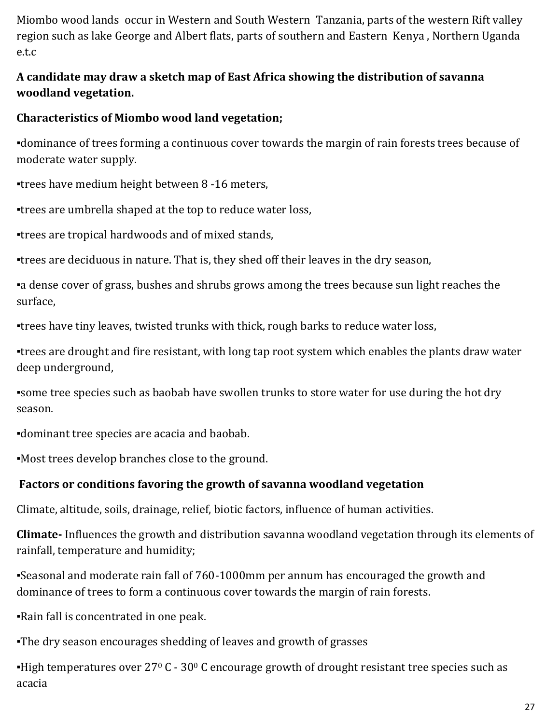Miombo wood lands occur in Western and South Western Tanzania, parts of the western Rift valley region such as lake George and Albert flats, parts of southern and Eastern Kenya , Northern Uganda e.t.c

#### **A candidate may draw a sketch map of East Africa showing the distribution of savanna woodland vegetation.**

#### **Characteristics of Miombo wood land vegetation;**

▪dominance of trees forming a continuous cover towards the margin of rain forests trees because of moderate water supply.

▪trees have medium height between 8 -16 meters,

▪trees are umbrella shaped at the top to reduce water loss,

▪trees are tropical hardwoods and of mixed stands,

▪trees are deciduous in nature. That is, they shed off their leaves in the dry season,

a dense cover of grass, bushes and shrubs grows among the trees because sun light reaches the surface,

▪trees have tiny leaves, twisted trunks with thick, rough barks to reduce water loss,

▪trees are drought and fire resistant, with long tap root system which enables the plants draw water deep underground,

▪some tree species such as baobab have swollen trunks to store water for use during the hot dry season.

▪dominant tree species are acacia and baobab.

▪Most trees develop branches close to the ground.

#### **Factors or conditions favoring the growth of savanna woodland vegetation**

Climate, altitude, soils, drainage, relief, biotic factors, influence of human activities.

**Climate-** Influences the growth and distribution savanna woodland vegetation through its elements of rainfall, temperature and humidity;

▪Seasonal and moderate rain fall of 760-1000mm per annum has encouraged the growth and dominance of trees to form a continuous cover towards the margin of rain forests.

▪Rain fall is concentrated in one peak.

. The dry season encourages shedding of leaves and growth of grasses

**-High temperatures over 27° C - 30° C encourage growth of drought resistant tree species such as** acacia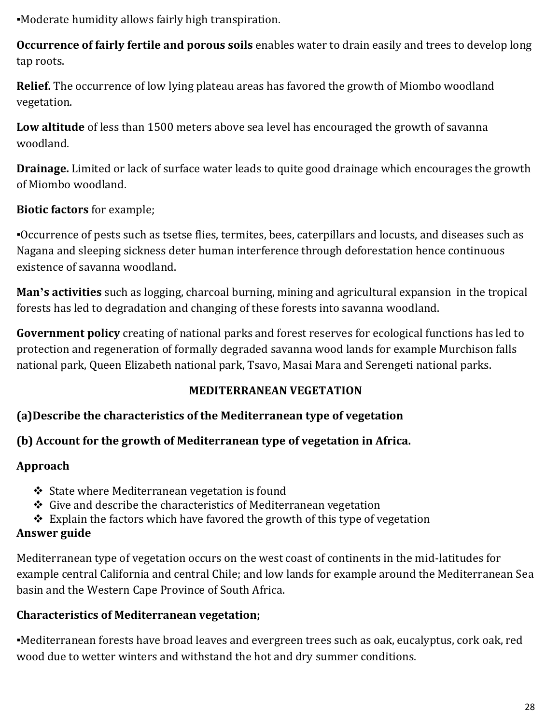▪Moderate humidity allows fairly high transpiration.

**Occurrence of fairly fertile and porous soils** enables water to drain easily and trees to develop long tap roots.

**Relief.** The occurrence of low lying plateau areas has favored the growth of Miombo woodland vegetation.

**Low altitude** of less than 1500 meters above sea level has encouraged the growth of savanna woodland.

**Drainage.** Limited or lack of surface water leads to quite good drainage which encourages the growth of Miombo woodland.

### **Biotic factors** for example;

▪Occurrence of pests such as tsetse flies, termites, bees, caterpillars and locusts, and diseases such as Nagana and sleeping sickness deter human interference through deforestation hence continuous existence of savanna woodland.

**Man's activities** such as logging, charcoal burning, mining and agricultural expansion in the tropical forests has led to degradation and changing of these forests into savanna woodland.

**Government policy** creating of national parks and forest reserves for ecological functions has led to protection and regeneration of formally degraded savanna wood lands for example Murchison falls national park, Queen Elizabeth national park, Tsavo, Masai Mara and Serengeti national parks.

#### **MEDITERRANEAN VEGETATION**

#### **(a)Describe the characteristics of the Mediterranean type of vegetation**

#### **(b) Account for the growth of Mediterranean type of vegetation in Africa.**

#### **Approach**

- $\div$  State where Mediterranean vegetation is found
- $\triangle$  Give and describe the characteristics of Mediterranean vegetation
- \* Explain the factors which have favored the growth of this type of vegetation

### **Answer guide**

Mediterranean type of vegetation occurs on the west coast of continents in the mid-latitudes for example central California and central Chile; and low lands for example around the Mediterranean Sea basin and the Western Cape Province of South Africa.

### **Characteristics of Mediterranean vegetation;**

▪Mediterranean forests have broad leaves and evergreen trees such as oak, eucalyptus, cork oak, red wood due to wetter winters and withstand the hot and dry summer conditions.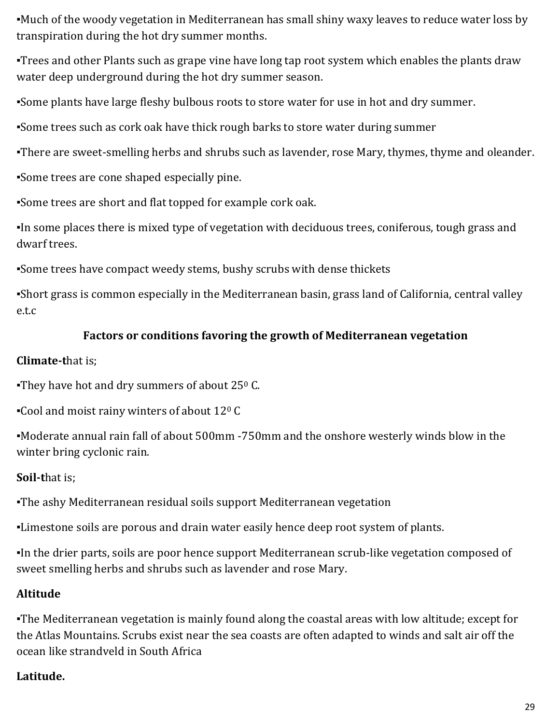▪Much of the woody vegetation in Mediterranean has small shiny waxy leaves to reduce water loss by transpiration during the hot dry summer months.

▪Trees and other Plants such as grape vine have long tap root system which enables the plants draw water deep underground during the hot dry summer season.

▪Some plants have large fleshy bulbous roots to store water for use in hot and dry summer.

▪Some trees such as cork oak have thick rough barks to store water during summer

. There are sweet-smelling herbs and shrubs such as lavender, rose Mary, thymes, thyme and oleander.

▪Some trees are cone shaped especially pine.

▪Some trees are short and flat topped for example cork oak.

▪In some places there is mixed type of vegetation with deciduous trees, coniferous, tough grass and dwarf trees.

▪Some trees have compact weedy stems, bushy scrubs with dense thickets

▪Short grass is common especially in the Mediterranean basin, grass land of California, central valley e.t.c

### **Factors or conditions favoring the growth of Mediterranean vegetation**

### **Climate-t**hat is;

They have hot and dry summers of about  $25^{\circ}$  C.

▪Cool and moist rainy winters of about 12<sup>0</sup> C

▪Moderate annual rain fall of about 500mm -750mm and the onshore westerly winds blow in the winter bring cyclonic rain.

# **Soil-t**hat is;

▪The ashy Mediterranean residual soils support Mediterranean vegetation

▪Limestone soils are porous and drain water easily hence deep root system of plants.

▪In the drier parts, soils are poor hence support Mediterranean scrub-like vegetation composed of sweet smelling herbs and shrubs such as lavender and rose Mary.

# **Altitude**

▪The Mediterranean vegetation is mainly found along the coastal areas with low altitude; except for the Atlas Mountains. Scrubs exist near the sea coasts are often adapted to winds and salt air off the ocean like strandveld in South Africa

# **Latitude.**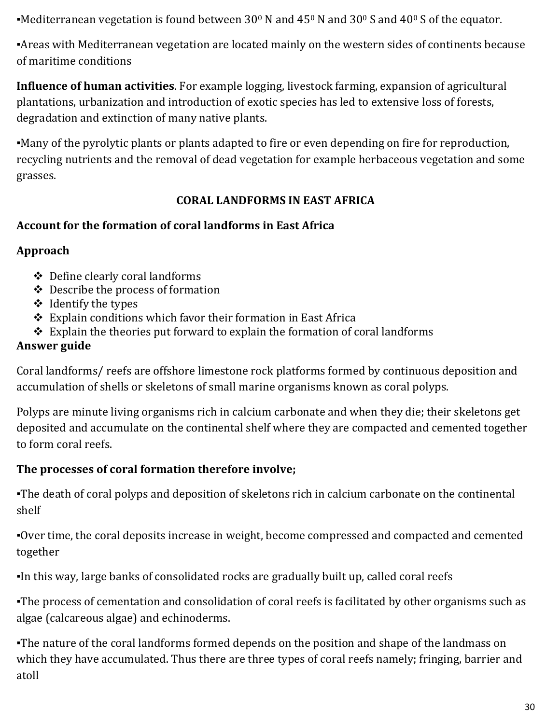•Mediterranean vegetation is found between 30<sup>0</sup> N and 45<sup>0</sup> N and 30<sup>0</sup> S and 40<sup>0</sup> S of the equator.

▪Areas with Mediterranean vegetation are located mainly on the western sides of continents because of maritime conditions

**Influence of human activities**. For example logging, livestock farming, expansion of agricultural plantations, urbanization and introduction of exotic species has led to extensive loss of forests, degradation and extinction of many native plants.

▪Many of the pyrolytic plants or plants adapted to fire or even depending on fire for reproduction, recycling nutrients and the removal of dead vegetation for example herbaceous vegetation and some grasses.

#### **CORAL LANDFORMS IN EAST AFRICA**

#### **Account for the formation of coral landforms in East Africa**

### **Approach**

- Define clearly coral landforms
- Describe the process of formation
- $\triangleleft$  Identify the types
- Explain conditions which favor their formation in East Africa
- $\triangle$  Explain the theories put forward to explain the formation of coral landforms

### **Answer guide**

Coral landforms/ reefs are offshore limestone rock platforms formed by continuous deposition and accumulation of shells or skeletons of small marine organisms known as coral polyps.

Polyps are minute living organisms rich in calcium carbonate and when they die; their skeletons get deposited and accumulate on the continental shelf where they are compacted and cemented together to form coral reefs.

### **The processes of coral formation therefore involve;**

▪The death of coral polyps and deposition of skeletons rich in calcium carbonate on the continental shelf

▪Over time, the coral deposits increase in weight, become compressed and compacted and cemented together

▪In this way, large banks of consolidated rocks are gradually built up, called coral reefs

▪The process of cementation and consolidation of coral reefs is facilitated by other organisms such as algae (calcareous algae) and echinoderms.

•The nature of the coral landforms formed depends on the position and shape of the landmass on which they have accumulated. Thus there are three types of coral reefs namely; fringing, barrier and atoll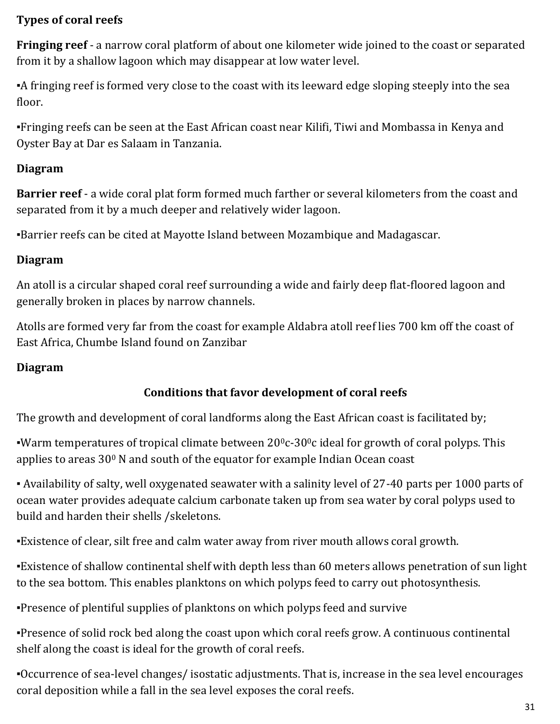#### **Types of coral reefs**

**Fringing reef** - a narrow coral platform of about one kilometer wide joined to the coast or separated from it by a shallow lagoon which may disappear at low water level.

▪A fringing reef is formed very close to the coast with its leeward edge sloping steeply into the sea floor.

▪Fringing reefs can be seen at the East African coast near Kilifi, Tiwi and Mombassa in Kenya and Oyster Bay at Dar es Salaam in Tanzania.

#### **Diagram**

**Barrier reef** - a wide coral plat form formed much farther or several kilometers from the coast and separated from it by a much deeper and relatively wider lagoon.

▪Barrier reefs can be cited at Mayotte Island between Mozambique and Madagascar.

#### **Diagram**

An atoll is a circular shaped coral reef surrounding a wide and fairly deep flat-floored lagoon and generally broken in places by narrow channels.

Atolls are formed very far from the coast for example Aldabra atoll reef lies 700 km off the coast of East Africa, Chumbe Island found on Zanzibar

#### **Diagram**

#### **Conditions that favor development of coral reefs**

The growth and development of coral landforms along the East African coast is facilitated by;

**•Warm temperatures of tropical climate between 20<sup>0</sup>c-30<sup>0</sup>c ideal for growth of coral polyps. This** applies to areas 30<sup>0</sup> N and south of the equator for example Indian Ocean coast

▪ Availability of salty, well oxygenated seawater with a salinity level of 27-40 parts per 1000 parts of ocean water provides adequate calcium carbonate taken up from sea water by coral polyps used to build and harden their shells /skeletons.

▪Existence of clear, silt free and calm water away from river mouth allows coral growth.

▪Existence of shallow continental shelf with depth less than 60 meters allows penetration of sun light to the sea bottom. This enables planktons on which polyps feed to carry out photosynthesis.

▪Presence of plentiful supplies of planktons on which polyps feed and survive

▪Presence of solid rock bed along the coast upon which coral reefs grow. A continuous continental shelf along the coast is ideal for the growth of coral reefs.

▪Occurrence of sea-level changes/ isostatic adjustments. That is, increase in the sea level encourages coral deposition while a fall in the sea level exposes the coral reefs.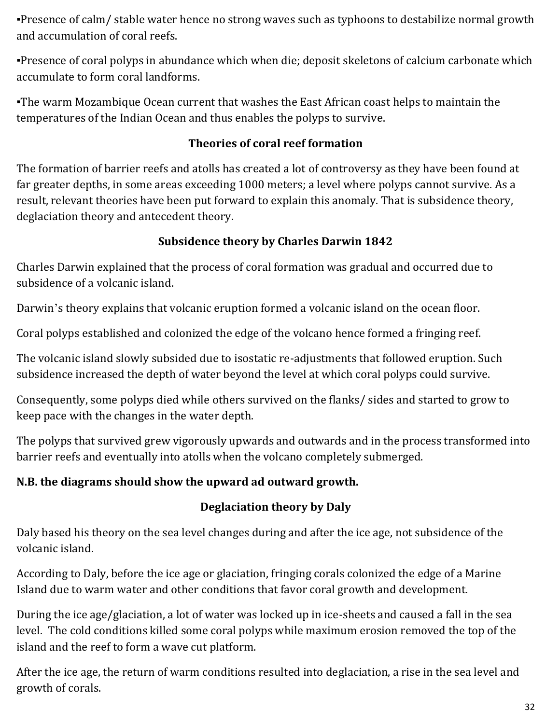▪Presence of calm/ stable water hence no strong waves such as typhoons to destabilize normal growth and accumulation of coral reefs.

▪Presence of coral polyps in abundance which when die; deposit skeletons of calcium carbonate which accumulate to form coral landforms.

▪The warm Mozambique Ocean current that washes the East African coast helps to maintain the temperatures of the Indian Ocean and thus enables the polyps to survive.

#### **Theories of coral reef formation**

The formation of barrier reefs and atolls has created a lot of controversy as they have been found at far greater depths, in some areas exceeding 1000 meters; a level where polyps cannot survive. As a result, relevant theories have been put forward to explain this anomaly. That is subsidence theory, deglaciation theory and antecedent theory.

#### **Subsidence theory by Charles Darwin 1842**

Charles Darwin explained that the process of coral formation was gradual and occurred due to subsidence of a volcanic island.

Darwin's theory explains that volcanic eruption formed a volcanic island on the ocean floor.

Coral polyps established and colonized the edge of the volcano hence formed a fringing reef.

The volcanic island slowly subsided due to isostatic re-adjustments that followed eruption. Such subsidence increased the depth of water beyond the level at which coral polyps could survive.

Consequently, some polyps died while others survived on the flanks/ sides and started to grow to keep pace with the changes in the water depth.

The polyps that survived grew vigorously upwards and outwards and in the process transformed into barrier reefs and eventually into atolls when the volcano completely submerged.

### **N.B. the diagrams should show the upward ad outward growth.**

### **Deglaciation theory by Daly**

Daly based his theory on the sea level changes during and after the ice age, not subsidence of the volcanic island.

According to Daly, before the ice age or glaciation, fringing corals colonized the edge of a Marine Island due to warm water and other conditions that favor coral growth and development.

During the ice age/glaciation, a lot of water was locked up in ice-sheets and caused a fall in the sea level. The cold conditions killed some coral polyps while maximum erosion removed the top of the island and the reef to form a wave cut platform.

After the ice age, the return of warm conditions resulted into deglaciation, a rise in the sea level and growth of corals.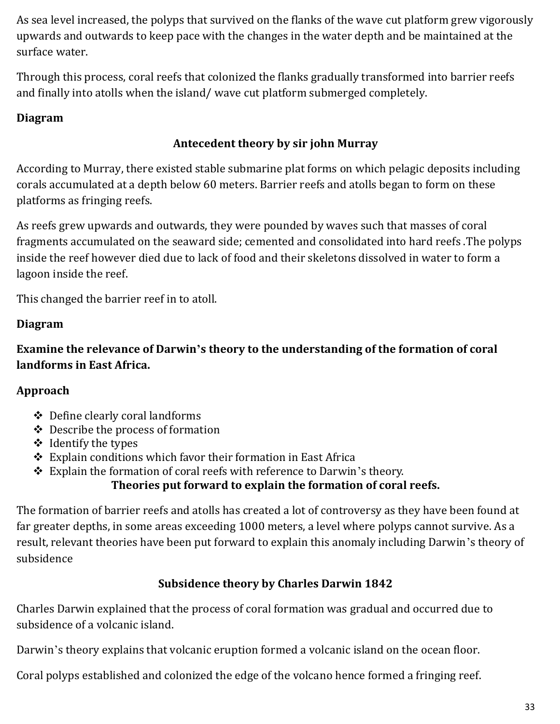As sea level increased, the polyps that survived on the flanks of the wave cut platform grew vigorously upwards and outwards to keep pace with the changes in the water depth and be maintained at the surface water.

Through this process, coral reefs that colonized the flanks gradually transformed into barrier reefs and finally into atolls when the island/ wave cut platform submerged completely.

#### **Diagram**

#### **Antecedent theory by sir john Murray**

According to Murray, there existed stable submarine plat forms on which pelagic deposits including corals accumulated at a depth below 60 meters. Barrier reefs and atolls began to form on these platforms as fringing reefs.

As reefs grew upwards and outwards, they were pounded by waves such that masses of coral fragments accumulated on the seaward side; cemented and consolidated into hard reefs .The polyps inside the reef however died due to lack of food and their skeletons dissolved in water to form a lagoon inside the reef.

This changed the barrier reef in to atoll.

#### **Diagram**

**Examine the relevance of Darwin's theory to the understanding of the formation of coral landforms in East Africa.**

#### **Approach**

- Define clearly coral landforms
- Describe the process of formation
- $\triangleleft$  Identify the types
- Explain conditions which favor their formation in East Africa
- Explain the formation of coral reefs with reference to Darwin's theory.

#### **Theories put forward to explain the formation of coral reefs.**

The formation of barrier reefs and atolls has created a lot of controversy as they have been found at far greater depths, in some areas exceeding 1000 meters, a level where polyps cannot survive. As a result, relevant theories have been put forward to explain this anomaly including Darwin's theory of subsidence

#### **Subsidence theory by Charles Darwin 1842**

Charles Darwin explained that the process of coral formation was gradual and occurred due to subsidence of a volcanic island.

Darwin's theory explains that volcanic eruption formed a volcanic island on the ocean floor.

Coral polyps established and colonized the edge of the volcano hence formed a fringing reef.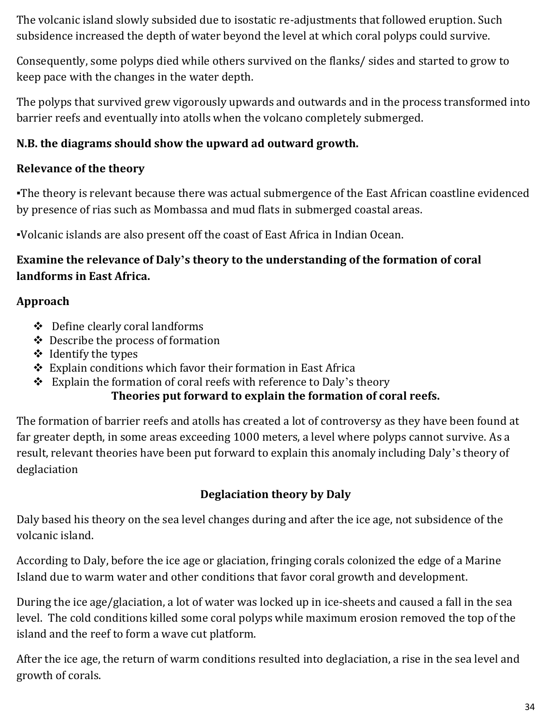The volcanic island slowly subsided due to isostatic re-adjustments that followed eruption. Such subsidence increased the depth of water beyond the level at which coral polyps could survive.

Consequently, some polyps died while others survived on the flanks/ sides and started to grow to keep pace with the changes in the water depth.

The polyps that survived grew vigorously upwards and outwards and in the process transformed into barrier reefs and eventually into atolls when the volcano completely submerged.

#### **N.B. the diagrams should show the upward ad outward growth.**

#### **Relevance of the theory**

. The theory is relevant because there was actual submergence of the East African coastline evidenced by presence of rias such as Mombassa and mud flats in submerged coastal areas.

▪Volcanic islands are also present off the coast of East Africa in Indian Ocean.

#### **Examine the relevance of Daly's theory to the understanding of the formation of coral landforms in East Africa.**

#### **Approach**

- $\triangleleft$  Define clearly coral landforms
- Describe the process of formation
- $\triangleleft$  Identify the types
- Explain conditions which favor their formation in East Africa
- $\triangleleft$  Explain the formation of coral reefs with reference to Daly's theory **Theories put forward to explain the formation of coral reefs.**

The formation of barrier reefs and atolls has created a lot of controversy as they have been found at far greater depth, in some areas exceeding 1000 meters, a level where polyps cannot survive. As a result, relevant theories have been put forward to explain this anomaly including Daly's theory of deglaciation

### **Deglaciation theory by Daly**

Daly based his theory on the sea level changes during and after the ice age, not subsidence of the volcanic island.

According to Daly, before the ice age or glaciation, fringing corals colonized the edge of a Marine Island due to warm water and other conditions that favor coral growth and development.

During the ice age/glaciation, a lot of water was locked up in ice-sheets and caused a fall in the sea level. The cold conditions killed some coral polyps while maximum erosion removed the top of the island and the reef to form a wave cut platform.

After the ice age, the return of warm conditions resulted into deglaciation, a rise in the sea level and growth of corals.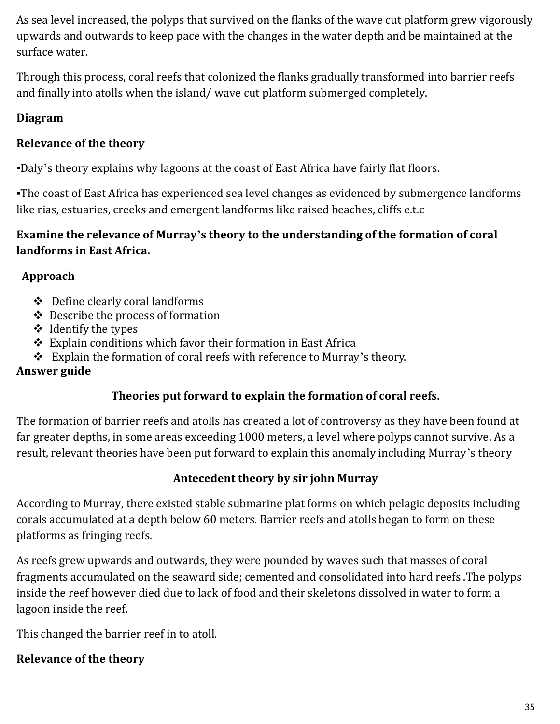As sea level increased, the polyps that survived on the flanks of the wave cut platform grew vigorously upwards and outwards to keep pace with the changes in the water depth and be maintained at the surface water.

Through this process, coral reefs that colonized the flanks gradually transformed into barrier reefs and finally into atolls when the island/ wave cut platform submerged completely.

#### **Diagram**

#### **Relevance of the theory**

▪Daly's theory explains why lagoons at the coast of East Africa have fairly flat floors.

▪The coast of East Africa has experienced sea level changes as evidenced by submergence landforms like rias, estuaries, creeks and emergent landforms like raised beaches, cliffs e.t.c

#### **Examine the relevance of Murray's theory to the understanding of the formation of coral landforms in East Africa.**

#### **Approach**

- Define clearly coral landforms
- Describe the process of formation
- $\triangleleft$  Identify the types
- Explain conditions which favor their formation in East Africa
- \* Explain the formation of coral reefs with reference to Murray's theory.

#### **Answer guide**

#### **Theories put forward to explain the formation of coral reefs.**

The formation of barrier reefs and atolls has created a lot of controversy as they have been found at far greater depths, in some areas exceeding 1000 meters, a level where polyps cannot survive. As a result, relevant theories have been put forward to explain this anomaly including Murray's theory

#### **Antecedent theory by sir john Murray**

According to Murray, there existed stable submarine plat forms on which pelagic deposits including corals accumulated at a depth below 60 meters. Barrier reefs and atolls began to form on these platforms as fringing reefs.

As reefs grew upwards and outwards, they were pounded by waves such that masses of coral fragments accumulated on the seaward side; cemented and consolidated into hard reefs .The polyps inside the reef however died due to lack of food and their skeletons dissolved in water to form a lagoon inside the reef.

This changed the barrier reef in to atoll.

#### **Relevance of the theory**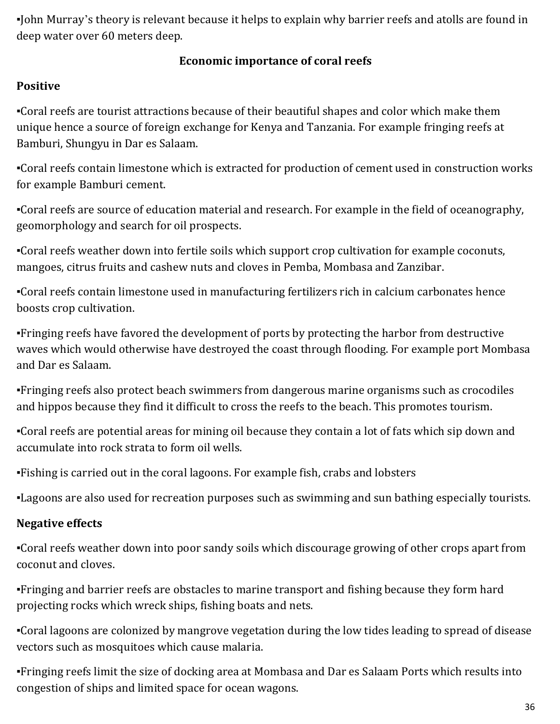▪John Murray's theory is relevant because it helps to explain why barrier reefs and atolls are found in deep water over 60 meters deep.

#### **Economic importance of coral reefs**

### **Positive**

▪Coral reefs are tourist attractions because of their beautiful shapes and color which make them unique hence a source of foreign exchange for Kenya and Tanzania. For example fringing reefs at Bamburi, Shungyu in Dar es Salaam.

▪Coral reefs contain limestone which is extracted for production of cement used in construction works for example Bamburi cement.

▪Coral reefs are source of education material and research. For example in the field of oceanography, geomorphology and search for oil prospects.

▪Coral reefs weather down into fertile soils which support crop cultivation for example coconuts, mangoes, citrus fruits and cashew nuts and cloves in Pemba, Mombasa and Zanzibar.

▪Coral reefs contain limestone used in manufacturing fertilizers rich in calcium carbonates hence boosts crop cultivation.

▪Fringing reefs have favored the development of ports by protecting the harbor from destructive waves which would otherwise have destroyed the coast through flooding. For example port Mombasa and Dar es Salaam.

▪Fringing reefs also protect beach swimmers from dangerous marine organisms such as crocodiles and hippos because they find it difficult to cross the reefs to the beach. This promotes tourism.

▪Coral reefs are potential areas for mining oil because they contain a lot of fats which sip down and accumulate into rock strata to form oil wells.

▪Fishing is carried out in the coral lagoons. For example fish, crabs and lobsters

▪Lagoons are also used for recreation purposes such as swimming and sun bathing especially tourists.

# **Negative effects**

▪Coral reefs weather down into poor sandy soils which discourage growing of other crops apart from coconut and cloves.

▪Fringing and barrier reefs are obstacles to marine transport and fishing because they form hard projecting rocks which wreck ships, fishing boats and nets.

▪Coral lagoons are colonized by mangrove vegetation during the low tides leading to spread of disease vectors such as mosquitoes which cause malaria.

▪Fringing reefs limit the size of docking area at Mombasa and Dar es Salaam Ports which results into congestion of ships and limited space for ocean wagons.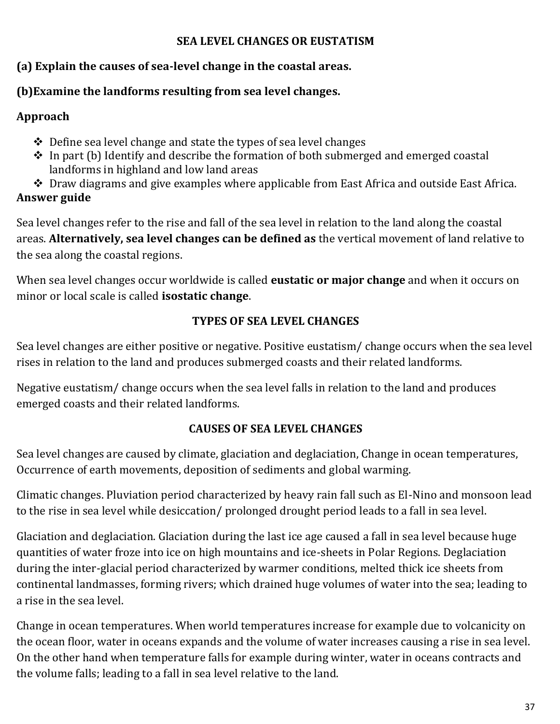#### **SEA LEVEL CHANGES OR EUSTATISM**

#### **(a) Explain the causes of sea-level change in the coastal areas.**

### **(b)Examine the landforms resulting from sea level changes.**

### **Approach**

- $\triangle$  Define sea level change and state the types of sea level changes
- \* In part (b) Identify and describe the formation of both submerged and emerged coastal landforms in highland and low land areas
- Draw diagrams and give examples where applicable from East Africa and outside East Africa. **Answer guide**

Sea level changes refer to the rise and fall of the sea level in relation to the land along the coastal areas. **Alternatively, sea level changes can be defined as** the vertical movement of land relative to the sea along the coastal regions.

When sea level changes occur worldwide is called **eustatic or major change** and when it occurs on minor or local scale is called **isostatic change**.

### **TYPES OF SEA LEVEL CHANGES**

Sea level changes are either positive or negative. Positive eustatism/ change occurs when the sea level rises in relation to the land and produces submerged coasts and their related landforms.

Negative eustatism/ change occurs when the sea level falls in relation to the land and produces emerged coasts and their related landforms.

### **CAUSES OF SEA LEVEL CHANGES**

Sea level changes are caused by climate, glaciation and deglaciation, Change in ocean temperatures, Occurrence of earth movements, deposition of sediments and global warming.

Climatic changes. Pluviation period characterized by heavy rain fall such as El-Nino and monsoon lead to the rise in sea level while desiccation/ prolonged drought period leads to a fall in sea level.

Glaciation and deglaciation. Glaciation during the last ice age caused a fall in sea level because huge quantities of water froze into ice on high mountains and ice-sheets in Polar Regions. Deglaciation during the inter-glacial period characterized by warmer conditions, melted thick ice sheets from continental landmasses, forming rivers; which drained huge volumes of water into the sea; leading to a rise in the sea level.

Change in ocean temperatures. When world temperatures increase for example due to volcanicity on the ocean floor, water in oceans expands and the volume of water increases causing a rise in sea level. On the other hand when temperature falls for example during winter, water in oceans contracts and the volume falls; leading to a fall in sea level relative to the land.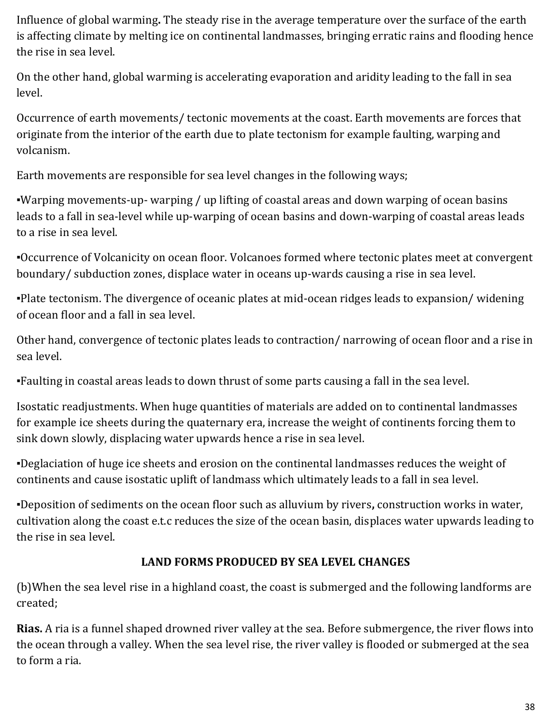Influence of global warming**.** The steady rise in the average temperature over the surface of the earth is affecting climate by melting ice on continental landmasses, bringing erratic rains and flooding hence the rise in sea level.

On the other hand, global warming is accelerating evaporation and aridity leading to the fall in sea level.

Occurrence of earth movements/ tectonic movements at the coast. Earth movements are forces that originate from the interior of the earth due to plate tectonism for example faulting, warping and volcanism.

Earth movements are responsible for sea level changes in the following ways;

▪Warping movements-up- warping / up lifting of coastal areas and down warping of ocean basins leads to a fall in sea-level while up-warping of ocean basins and down-warping of coastal areas leads to a rise in sea level.

▪Occurrence of Volcanicity on ocean floor. Volcanoes formed where tectonic plates meet at convergent boundary/ subduction zones, displace water in oceans up-wards causing a rise in sea level.

▪Plate tectonism. The divergence of oceanic plates at mid-ocean ridges leads to expansion/ widening of ocean floor and a fall in sea level.

Other hand, convergence of tectonic plates leads to contraction/ narrowing of ocean floor and a rise in sea level.

▪Faulting in coastal areas leads to down thrust of some parts causing a fall in the sea level.

Isostatic readjustments. When huge quantities of materials are added on to continental landmasses for example ice sheets during the quaternary era, increase the weight of continents forcing them to sink down slowly, displacing water upwards hence a rise in sea level.

▪Deglaciation of huge ice sheets and erosion on the continental landmasses reduces the weight of continents and cause isostatic uplift of landmass which ultimately leads to a fall in sea level.

▪Deposition of sediments on the ocean floor such as alluvium by rivers**,** construction works in water, cultivation along the coast e.t.c reduces the size of the ocean basin, displaces water upwards leading to the rise in sea level.

### **LAND FORMS PRODUCED BY SEA LEVEL CHANGES**

(b)When the sea level rise in a highland coast, the coast is submerged and the following landforms are created;

**Rias.** A ria is a funnel shaped drowned river valley at the sea. Before submergence, the river flows into the ocean through a valley. When the sea level rise, the river valley is flooded or submerged at the sea to form a ria.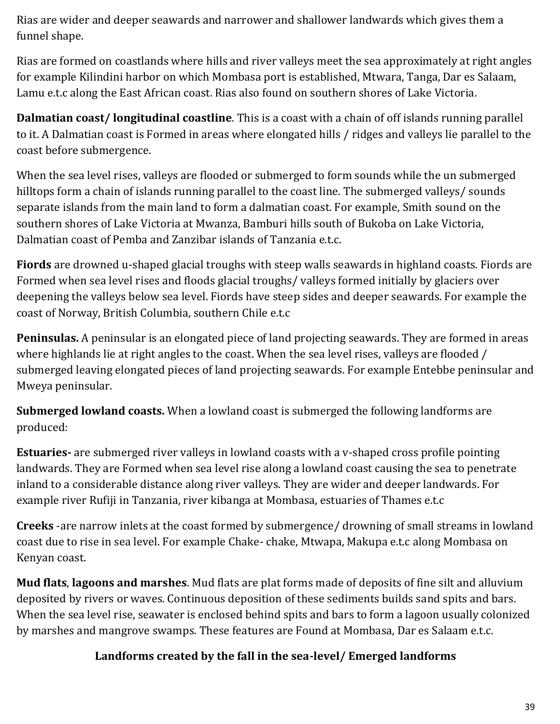Rias are wider and deeper seawards and narrower and shallower landwards which gives them a funnel shape.

Rias are formed on coastlands where hills and river valleys meet the sea approximately at right angles for example Kilindini harbor on which Mombasa port is established, Mtwara, Tanga, Dar es Salaam, Lamu e.t.c along the East African coast. Rias also found on southern shores of Lake Victoria.

**Dalmatian coast/ longitudinal coastline**. This is a coast with a chain of off islands running parallel to it. A Dalmatian coast is Formed in areas where elongated hills / ridges and valleys lie parallel to the coast before submergence.

When the sea level rises, valleys are flooded or submerged to form sounds while the un submerged hilltops form a chain of islands running parallel to the coast line. The submerged valleys/ sounds separate islands from the main land to form a dalmatian coast. For example, Smith sound on the southern shores of Lake Victoria at Mwanza, Bamburi hills south of Bukoba on Lake Victoria, Dalmatian coast of Pemba and Zanzibar islands of Tanzania e.t.c.

**Fiords** are drowned u-shaped glacial troughs with steep walls seawards in highland coasts. Fiords are Formed when sea level rises and floods glacial troughs/ valleys formed initially by glaciers over deepening the valleys below sea level. Fiords have steep sides and deeper seawards. For example the coast of Norway, British Columbia, southern Chile e.t.c

**Peninsulas.** A peninsular is an elongated piece of land projecting seawards. They are formed in areas where highlands lie at right angles to the coast. When the sea level rises, valleys are flooded / submerged leaving elongated pieces of land projecting seawards. For example Entebbe peninsular and Mweya peninsular.

**Submerged lowland coasts.** When a lowland coast is submerged the following landforms are produced:

**Estuaries-** are submerged river valleys in lowland coasts with a v-shaped cross profile pointing landwards. They are Formed when sea level rise along a lowland coast causing the sea to penetrate inland to a considerable distance along river valleys. They are wider and deeper landwards. For example river Rufiji in Tanzania, river kibanga at Mombasa, estuaries of Thames e.t.c

**Creeks** -are narrow inlets at the coast formed by submergence/ drowning of small streams in lowland coast due to rise in sea level. For example Chake- chake, Mtwapa, Makupa e.t.c along Mombasa on Kenyan coast.

**Mud flats**, **lagoons and marshes**. Mud flats are plat forms made of deposits of fine silt and alluvium deposited by rivers or waves. Continuous deposition of these sediments builds sand spits and bars. When the sea level rise, seawater is enclosed behind spits and bars to form a lagoon usually colonized by marshes and mangrove swamps. These features are Found at Mombasa, Dar es Salaam e.t.c.

### **Landforms created by the fall in the sea-level/ Emerged landforms**